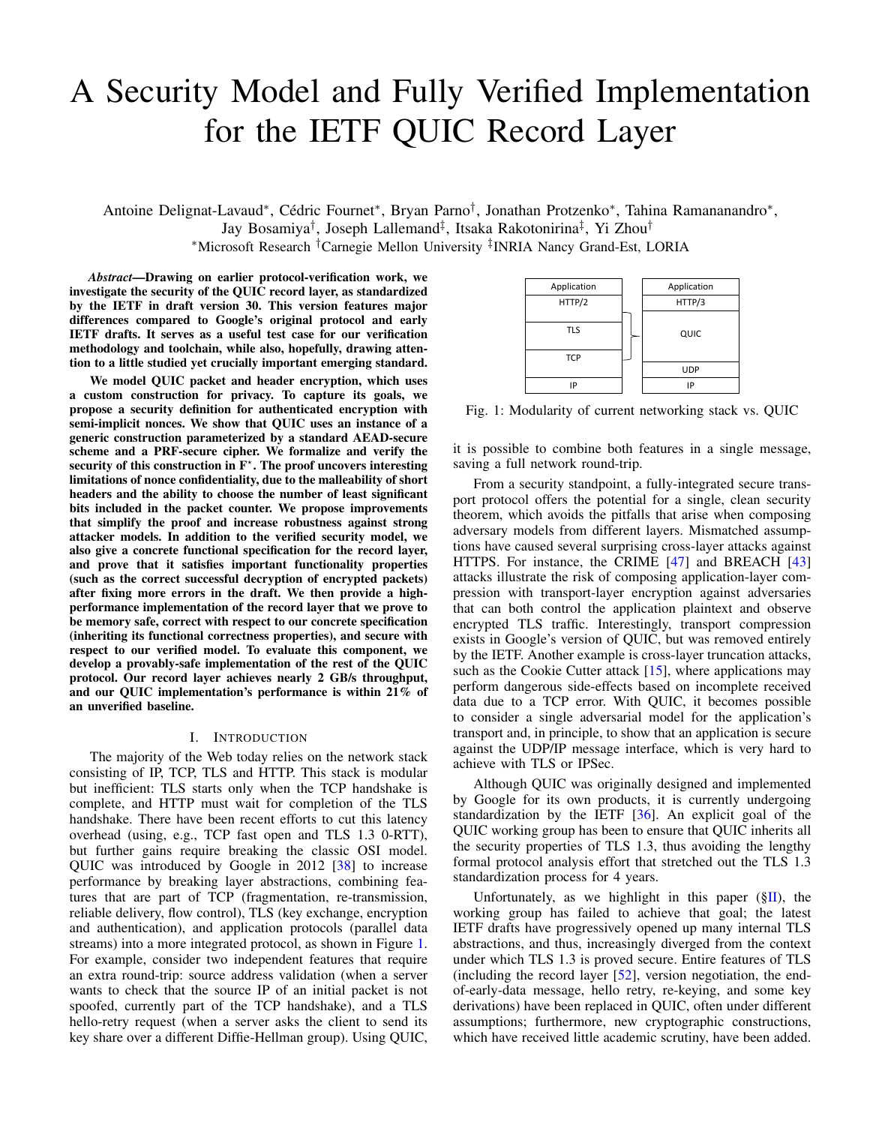# A Security Model and Fully Verified Implementation for the IETF QUIC Record Layer

Antoine Delignat-Lavaud\*, Cédric Fournet\*, Bryan Parno<sup>†</sup>, Jonathan Protzenko\*, Tahina Ramananandro\*, Jay Bosamiya<sup>†</sup>, Joseph Lallemand<sup>‡</sup>, Itsaka Rakotonirina<sup>‡</sup>, Yi Zhou<sup>†</sup> <sup>∗</sup>Microsoft Research †Carnegie Mellon University ‡ INRIA Nancy Grand-Est, LORIA

*Abstract*—Drawing on earlier protocol-verification work, we investigate the security of the QUIC record layer, as standardized by the IETF in draft version 30. This version features major differences compared to Google's original protocol and early IETF drafts. It serves as a useful test case for our verification methodology and toolchain, while also, hopefully, drawing attention to a little studied yet crucially important emerging standard.

We model QUIC packet and header encryption, which uses a custom construction for privacy. To capture its goals, we propose a security definition for authenticated encryption with semi-implicit nonces. We show that QUIC uses an instance of a generic construction parameterized by a standard AEAD-secure scheme and a PRF-secure cipher. We formalize and verify the security of this construction in  $F^*$ . The proof uncovers interesting limitations of nonce confidentiality, due to the malleability of short headers and the ability to choose the number of least significant bits included in the packet counter. We propose improvements that simplify the proof and increase robustness against strong attacker models. In addition to the verified security model, we also give a concrete functional specification for the record layer, and prove that it satisfies important functionality properties (such as the correct successful decryption of encrypted packets) after fixing more errors in the draft. We then provide a highperformance implementation of the record layer that we prove to be memory safe, correct with respect to our concrete specification (inheriting its functional correctness properties), and secure with respect to our verified model. To evaluate this component, we develop a provably-safe implementation of the rest of the QUIC protocol. Our record layer achieves nearly 2 GB/s throughput, and our QUIC implementation's performance is within 21% of an unverified baseline.

#### I. INTRODUCTION

The majority of the Web today relies on the network stack consisting of IP, TCP, TLS and HTTP. This stack is modular but inefficient: TLS starts only when the TCP handshake is complete, and HTTP must wait for completion of the TLS handshake. There have been recent efforts to cut this latency overhead (using, e.g., TCP fast open and TLS 1.3 0-RTT), but further gains require breaking the classic OSI model. QUIC was introduced by Google in 2012 [\[38\]](#page-15-0) to increase performance by breaking layer abstractions, combining features that are part of TCP (fragmentation, re-transmission, reliable delivery, flow control), TLS (key exchange, encryption and authentication), and application protocols (parallel data streams) into a more integrated protocol, as shown in Figure [1.](#page-0-0) For example, consider two independent features that require an extra round-trip: source address validation (when a server wants to check that the source IP of an initial packet is not spoofed, currently part of the TCP handshake), and a TLS hello-retry request (when a server asks the client to send its key share over a different Diffie-Hellman group). Using QUIC,

<span id="page-0-0"></span>

| Application | Application |
|-------------|-------------|
| HTTP/2      | HTTP/3      |
|             |             |
| <b>TLS</b>  | QUIC        |
| <b>TCP</b>  |             |
|             | <b>UDP</b>  |
| IP          | IP          |

Fig. 1: Modularity of current networking stack vs. QUIC

it is possible to combine both features in a single message, saving a full network round-trip.

From a security standpoint, a fully-integrated secure transport protocol offers the potential for a single, clean security theorem, which avoids the pitfalls that arise when composing adversary models from different layers. Mismatched assumptions have caused several surprising cross-layer attacks against HTTPS. For instance, the CRIME [\[47\]](#page-16-0) and BREACH [\[43\]](#page-15-1) attacks illustrate the risk of composing application-layer compression with transport-layer encryption against adversaries that can both control the application plaintext and observe encrypted TLS traffic. Interestingly, transport compression exists in Google's version of QUIC, but was removed entirely by the IETF. Another example is cross-layer truncation attacks, such as the Cookie Cutter attack [\[15\]](#page-15-2), where applications may perform dangerous side-effects based on incomplete received data due to a TCP error. With QUIC, it becomes possible to consider a single adversarial model for the application's transport and, in principle, to show that an application is secure against the UDP/IP message interface, which is very hard to achieve with TLS or IPSec.

Although QUIC was originally designed and implemented by Google for its own products, it is currently undergoing standardization by the IETF [\[36\]](#page-15-3). An explicit goal of the QUIC working group has been to ensure that QUIC inherits all the security properties of TLS 1.3, thus avoiding the lengthy formal protocol analysis effort that stretched out the TLS 1.3 standardization process for 4 years.

Unfortunately, as we highlight in this paper  $(\S$ II), the working group has failed to achieve that goal; the latest IETF drafts have progressively opened up many internal TLS abstractions, and thus, increasingly diverged from the context under which TLS 1.3 is proved secure. Entire features of TLS (including the record layer [\[52\]](#page-16-1), version negotiation, the endof-early-data message, hello retry, re-keying, and some key derivations) have been replaced in QUIC, often under different assumptions; furthermore, new cryptographic constructions, which have received little academic scrutiny, have been added.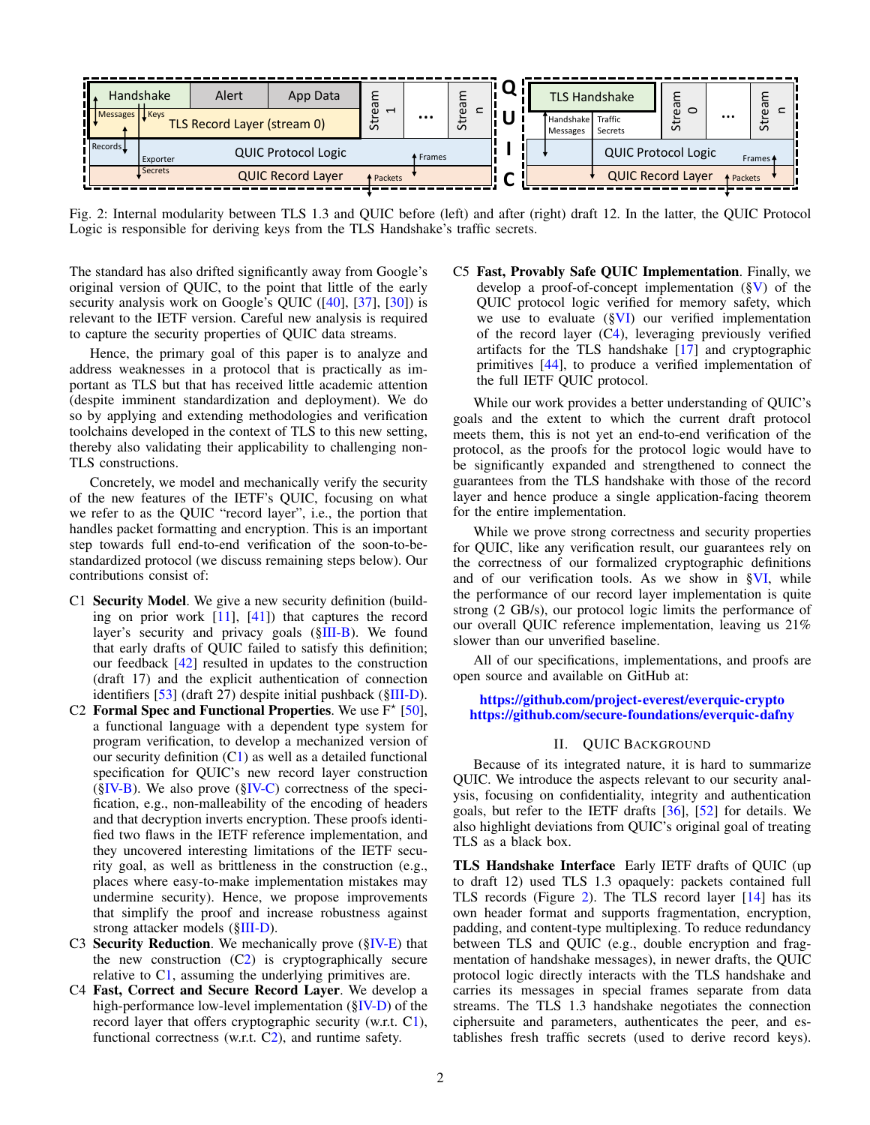<span id="page-1-4"></span>

Fig. 2: Internal modularity between TLS 1.3 and QUIC before (left) and after (right) draft 12. In the latter, the QUIC Protocol Logic is responsible for deriving keys from the TLS Handshake's traffic secrets.

The standard has also drifted significantly away from Google's original version of QUIC, to the point that little of the early security analysis work on Google's QUIC ([\[40\]](#page-15-4), [\[37\]](#page-15-5), [\[30\]](#page-15-6)) is relevant to the IETF version. Careful new analysis is required to capture the security properties of QUIC data streams.

Hence, the primary goal of this paper is to analyze and address weaknesses in a protocol that is practically as important as TLS but that has received little academic attention (despite imminent standardization and deployment). We do so by applying and extending methodologies and verification toolchains developed in the context of TLS to this new setting, thereby also validating their applicability to challenging non-TLS constructions.

Concretely, we model and mechanically verify the security of the new features of the IETF's QUIC, focusing on what we refer to as the QUIC "record layer", i.e., the portion that handles packet formatting and encryption. This is an important step towards full end-to-end verification of the soon-to-bestandardized protocol (we discuss remaining steps below). Our contributions consist of:

- <span id="page-1-1"></span>C1 Security Model. We give a new security definition (building on prior work [\[11\]](#page-15-7), [\[41\]](#page-15-8)) that captures the record layer's security and privacy goals ([§III-B\)](#page-4-0). We found that early drafts of QUIC failed to satisfy this definition; our feedback [\[42\]](#page-15-9) resulted in updates to the construction (draft 17) and the explicit authentication of connection identifiers [\[53\]](#page-16-2) (draft 27) despite initial pushback ([§III-D\)](#page-6-0).
- <span id="page-1-2"></span>C2 Formal Spec and Functional Properties. We use  $F^*$  [\[50\]](#page-16-3), a functional language with a dependent type system for program verification, to develop a mechanized version of our security definition  $(C1)$  $(C1)$  as well as a detailed functional specification for QUIC's new record layer construction  $(\S$ IV-B). We also prove  $(\S$ IV-C) correctness of the specification, e.g., non-malleability of the encoding of headers and that decryption inverts encryption. These proofs identified two flaws in the IETF reference implementation, and they uncovered interesting limitations of the IETF security goal, as well as brittleness in the construction (e.g., places where easy-to-make implementation mistakes may undermine security). Hence, we propose improvements that simplify the proof and increase robustness against strong attacker models ([§III-D\)](#page-6-0).
- C3 Security Reduction. We mechanically prove  $(\S$ IV-E) that the new construction  $(C2)$  $(C2)$  is cryptographically secure relative to [C1,](#page-1-1) assuming the underlying primitives are.
- <span id="page-1-3"></span>C4 Fast, Correct and Secure Record Layer. We develop a high-performance low-level implementation ([§IV-D\)](#page-10-1) of the record layer that offers cryptographic security (w.r.t. [C1\)](#page-1-1), functional correctness (w.r.t. [C2\)](#page-1-2), and runtime safety.

C5 Fast, Provably Safe QUIC Implementation. Finally, we develop a proof-of-concept implementation  $(\S V)$  of the QUIC protocol logic verified for memory safety, which we use to evaluate  $(\S$ VI) our verified implementation of the record layer ([C4\)](#page-1-3), leveraging previously verified artifacts for the TLS handshake [\[17\]](#page-15-10) and cryptographic primitives [\[44\]](#page-15-11), to produce a verified implementation of the full IETF QUIC protocol.

While our work provides a better understanding of QUIC's goals and the extent to which the current draft protocol meets them, this is not yet an end-to-end verification of the protocol, as the proofs for the protocol logic would have to be significantly expanded and strengthened to connect the guarantees from the TLS handshake with those of the record layer and hence produce a single application-facing theorem for the entire implementation.

While we prove strong correctness and security properties for QUIC, like any verification result, our guarantees rely on the correctness of our formalized cryptographic definitions and of our verification tools. As we show in [§VI,](#page-13-0) while the performance of our record layer implementation is quite strong (2 GB/s), our protocol logic limits the performance of our overall QUIC reference implementation, leaving us 21% slower than our unverified baseline.

All of our specifications, implementations, and proofs are open source and available on GitHub at:

#### <https://github.com/project-everest/everquic-crypto> <https://github.com/secure-foundations/everquic-dafny>

## II. QUIC BACKGROUND

<span id="page-1-0"></span>Because of its integrated nature, it is hard to summarize QUIC. We introduce the aspects relevant to our security analysis, focusing on confidentiality, integrity and authentication goals, but refer to the IETF drafts [\[36\]](#page-15-3), [\[52\]](#page-16-1) for details. We also highlight deviations from QUIC's original goal of treating TLS as a black box.

TLS Handshake Interface Early IETF drafts of QUIC (up to draft 12) used TLS 1.3 opaquely: packets contained full TLS records (Figure [2\)](#page-1-4). The TLS record layer [\[14\]](#page-15-12) has its own header format and supports fragmentation, encryption, padding, and content-type multiplexing. To reduce redundancy between TLS and QUIC (e.g., double encryption and fragmentation of handshake messages), in newer drafts, the QUIC protocol logic directly interacts with the TLS handshake and carries its messages in special frames separate from data streams. The TLS 1.3 handshake negotiates the connection ciphersuite and parameters, authenticates the peer, and establishes fresh traffic secrets (used to derive record keys).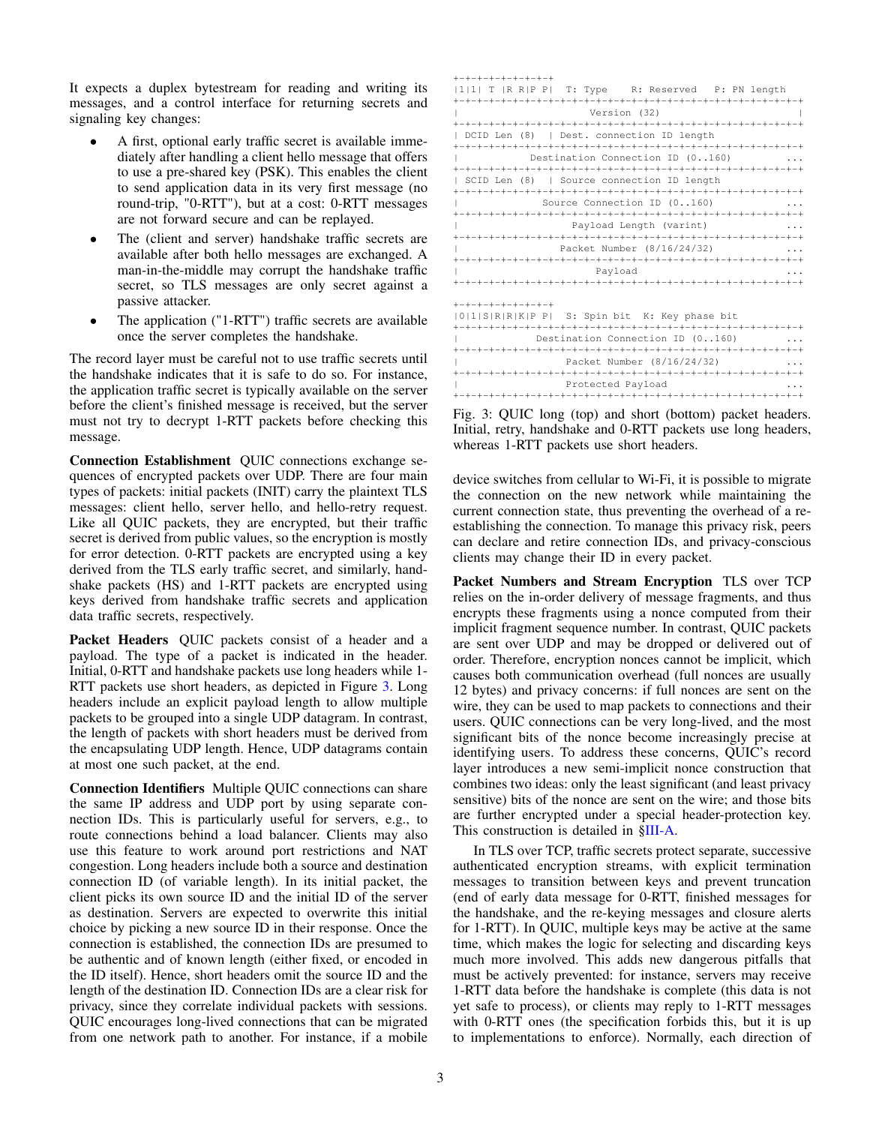It expects a duplex bytestream for reading and writing its messages, and a control interface for returning secrets and signaling key changes:

- A first, optional early traffic secret is available immediately after handling a client hello message that offers to use a pre-shared key (PSK). This enables the client to send application data in its very first message (no round-trip, "0-RTT"), but at a cost: 0-RTT messages are not forward secure and can be replayed.
- The (client and server) handshake traffic secrets are available after both hello messages are exchanged. A man-in-the-middle may corrupt the handshake traffic secret, so TLS messages are only secret against a passive attacker.
- The application ("1-RTT") traffic secrets are available once the server completes the handshake.

The record layer must be careful not to use traffic secrets until the handshake indicates that it is safe to do so. For instance, the application traffic secret is typically available on the server before the client's finished message is received, but the server must not try to decrypt 1-RTT packets before checking this message.

Connection Establishment QUIC connections exchange sequences of encrypted packets over UDP. There are four main types of packets: initial packets (INIT) carry the plaintext TLS messages: client hello, server hello, and hello-retry request. Like all QUIC packets, they are encrypted, but their traffic secret is derived from public values, so the encryption is mostly for error detection. 0-RTT packets are encrypted using a key derived from the TLS early traffic secret, and similarly, handshake packets (HS) and 1-RTT packets are encrypted using keys derived from handshake traffic secrets and application data traffic secrets, respectively.

Packet Headers QUIC packets consist of a header and a payload. The type of a packet is indicated in the header. Initial, 0-RTT and handshake packets use long headers while 1- RTT packets use short headers, as depicted in Figure [3.](#page-2-0) Long headers include an explicit payload length to allow multiple packets to be grouped into a single UDP datagram. In contrast, the length of packets with short headers must be derived from the encapsulating UDP length. Hence, UDP datagrams contain at most one such packet, at the end.

Connection Identifiers Multiple QUIC connections can share the same IP address and UDP port by using separate connection IDs. This is particularly useful for servers, e.g., to route connections behind a load balancer. Clients may also use this feature to work around port restrictions and NAT congestion. Long headers include both a source and destination connection ID (of variable length). In its initial packet, the client picks its own source ID and the initial ID of the server as destination. Servers are expected to overwrite this initial choice by picking a new source ID in their response. Once the connection is established, the connection IDs are presumed to be authentic and of known length (either fixed, or encoded in the ID itself). Hence, short headers omit the source ID and the length of the destination ID. Connection IDs are a clear risk for privacy, since they correlate individual packets with sessions. QUIC encourages long-lived connections that can be migrated from one network path to another. For instance, if a mobile

<span id="page-2-0"></span>

| $+ - + - + - + - + - + - + - +$                   |
|---------------------------------------------------|
| 1 1  T  R R P P  T: Type R: Reserved P: PN length |
|                                                   |
| Version (32)                                      |
|                                                   |
| DCID Len (8)   Dest. connection ID length         |
|                                                   |
| Destination Connection ID (0160)                  |
|                                                   |
| SCID Len (8)   Source connection ID length        |
|                                                   |
| Source Connection ID (0160)<br>.                  |
|                                                   |
| Payload Length (varint)<br>.                      |
|                                                   |
| Packet Number (8/16/24/32)<br>.                   |
|                                                   |
| Payload                                           |
|                                                   |
|                                                   |
| +-+-+-+-+-+-+-+-+                                 |
| [0][S[R]R[K]P P] S: Spin bit K: Key phase bit     |
|                                                   |
| Destination Connection ID (0160)                  |
|                                                   |
| Packet Number (8/16/24/32)<br>.                   |
|                                                   |
| Protected Payload                                 |
|                                                   |

Fig. 3: QUIC long (top) and short (bottom) packet headers. Initial, retry, handshake and 0-RTT packets use long headers, whereas 1-RTT packets use short headers.

device switches from cellular to Wi-Fi, it is possible to migrate the connection on the new network while maintaining the current connection state, thus preventing the overhead of a reestablishing the connection. To manage this privacy risk, peers can declare and retire connection IDs, and privacy-conscious clients may change their ID in every packet.

Packet Numbers and Stream Encryption TLS over TCP relies on the in-order delivery of message fragments, and thus encrypts these fragments using a nonce computed from their implicit fragment sequence number. In contrast, QUIC packets are sent over UDP and may be dropped or delivered out of order. Therefore, encryption nonces cannot be implicit, which causes both communication overhead (full nonces are usually 12 bytes) and privacy concerns: if full nonces are sent on the wire, they can be used to map packets to connections and their users. QUIC connections can be very long-lived, and the most significant bits of the nonce become increasingly precise at identifying users. To address these concerns, QUIC's record layer introduces a new semi-implicit nonce construction that combines two ideas: only the least significant (and least privacy sensitive) bits of the nonce are sent on the wire; and those bits are further encrypted under a special header-protection key. This construction is detailed in [§III-A.](#page-3-0)

In TLS over TCP, traffic secrets protect separate, successive authenticated encryption streams, with explicit termination messages to transition between keys and prevent truncation (end of early data message for 0-RTT, finished messages for the handshake, and the re-keying messages and closure alerts for 1-RTT). In QUIC, multiple keys may be active at the same time, which makes the logic for selecting and discarding keys much more involved. This adds new dangerous pitfalls that must be actively prevented: for instance, servers may receive 1-RTT data before the handshake is complete (this data is not yet safe to process), or clients may reply to 1-RTT messages with 0-RTT ones (the specification forbids this, but it is up to implementations to enforce). Normally, each direction of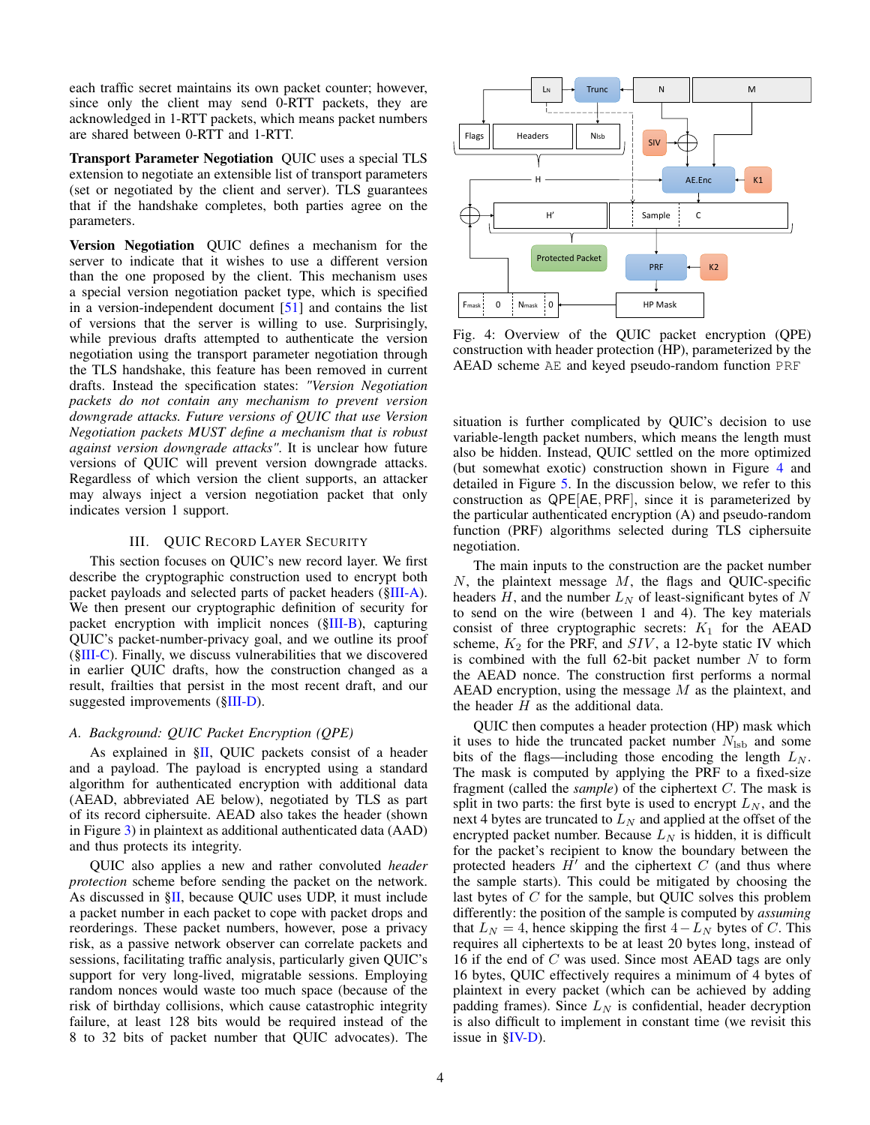each traffic secret maintains its own packet counter; however, since only the client may send 0-RTT packets, they are acknowledged in 1-RTT packets, which means packet numbers are shared between 0-RTT and 1-RTT.

Transport Parameter Negotiation QUIC uses a special TLS extension to negotiate an extensible list of transport parameters (set or negotiated by the client and server). TLS guarantees that if the handshake completes, both parties agree on the parameters.

Version Negotiation QUIC defines a mechanism for the server to indicate that it wishes to use a different version than the one proposed by the client. This mechanism uses a special version negotiation packet type, which is specified in a version-independent document [\[51\]](#page-16-4) and contains the list of versions that the server is willing to use. Surprisingly, while previous drafts attempted to authenticate the version negotiation using the transport parameter negotiation through the TLS handshake, this feature has been removed in current drafts. Instead the specification states: *"Version Negotiation packets do not contain any mechanism to prevent version downgrade attacks. Future versions of QUIC that use Version Negotiation packets MUST define a mechanism that is robust against version downgrade attacks"*. It is unclear how future versions of QUIC will prevent version downgrade attacks. Regardless of which version the client supports, an attacker may always inject a version negotiation packet that only indicates version 1 support.

## III. QUIC RECORD LAYER SECURITY

<span id="page-3-2"></span>This section focuses on QUIC's new record layer. We first describe the cryptographic construction used to encrypt both packet payloads and selected parts of packet headers ([§III-A\)](#page-3-0). We then present our cryptographic definition of security for packet encryption with implicit nonces ([§III-B\)](#page-4-0), capturing QUIC's packet-number-privacy goal, and we outline its proof ([§III-C\)](#page-6-1). Finally, we discuss vulnerabilities that we discovered in earlier QUIC drafts, how the construction changed as a result, frailties that persist in the most recent draft, and our suggested improvements ([§III-D\)](#page-6-0).

## <span id="page-3-0"></span>*A. Background: QUIC Packet Encryption (QPE)*

As explained in [§II,](#page-1-0) QUIC packets consist of a header and a payload. The payload is encrypted using a standard algorithm for authenticated encryption with additional data (AEAD, abbreviated AE below), negotiated by TLS as part of its record ciphersuite. AEAD also takes the header (shown in Figure [3\)](#page-2-0) in plaintext as additional authenticated data (AAD) and thus protects its integrity.

QUIC also applies a new and rather convoluted *header protection* scheme before sending the packet on the network. As discussed in [§II,](#page-1-0) because QUIC uses UDP, it must include a packet number in each packet to cope with packet drops and reorderings. These packet numbers, however, pose a privacy risk, as a passive network observer can correlate packets and sessions, facilitating traffic analysis, particularly given QUIC's support for very long-lived, migratable sessions. Employing random nonces would waste too much space (because of the risk of birthday collisions, which cause catastrophic integrity failure, at least 128 bits would be required instead of the 8 to 32 bits of packet number that QUIC advocates). The

<span id="page-3-1"></span>

Fig. 4: Overview of the QUIC packet encryption (QPE) construction with header protection (HP), parameterized by the AEAD scheme AE and keyed pseudo-random function PRF

situation is further complicated by QUIC's decision to use variable-length packet numbers, which means the length must also be hidden. Instead, QUIC settled on the more optimized (but somewhat exotic) construction shown in Figure [4](#page-3-1) and detailed in Figure [5.](#page-4-1) In the discussion below, we refer to this construction as QPE[AE, PRF], since it is parameterized by the particular authenticated encryption (A) and pseudo-random function (PRF) algorithms selected during TLS ciphersuite negotiation.

The main inputs to the construction are the packet number  $N$ , the plaintext message  $M$ , the flags and QUIC-specific headers  $H$ , and the number  $L<sub>N</sub>$  of least-significant bytes of N to send on the wire (between 1 and 4). The key materials consist of three cryptographic secrets:  $K_1$  for the AEAD scheme,  $K_2$  for the PRF, and  $SIV$ , a 12-byte static IV which is combined with the full 62-bit packet number  $N$  to form the AEAD nonce. The construction first performs a normal AEAD encryption, using the message  $M$  as the plaintext, and the header  $H$  as the additional data.

QUIC then computes a header protection (HP) mask which it uses to hide the truncated packet number  $N_{\rm{lsb}}$  and some bits of the flags—including those encoding the length  $L<sub>N</sub>$ . The mask is computed by applying the PRF to a fixed-size fragment (called the *sample*) of the ciphertext C. The mask is split in two parts: the first byte is used to encrypt  $L_N$ , and the next 4 bytes are truncated to  $L<sub>N</sub>$  and applied at the offset of the encrypted packet number. Because  $L<sub>N</sub>$  is hidden, it is difficult for the packet's recipient to know the boundary between the protected headers  $\hat{H}'$  and the ciphertext C (and thus where the sample starts). This could be mitigated by choosing the last bytes of C for the sample, but QUIC solves this problem differently: the position of the sample is computed by *assuming* that  $L_N = 4$ , hence skipping the first  $4 - L_N$  bytes of C. This requires all ciphertexts to be at least 20 bytes long, instead of 16 if the end of C was used. Since most AEAD tags are only 16 bytes, QUIC effectively requires a minimum of 4 bytes of plaintext in every packet (which can be achieved by adding padding frames). Since  $L<sub>N</sub>$  is confidential, header decryption is also difficult to implement in constant time (we revisit this issue in  $\S$ **IV-D**).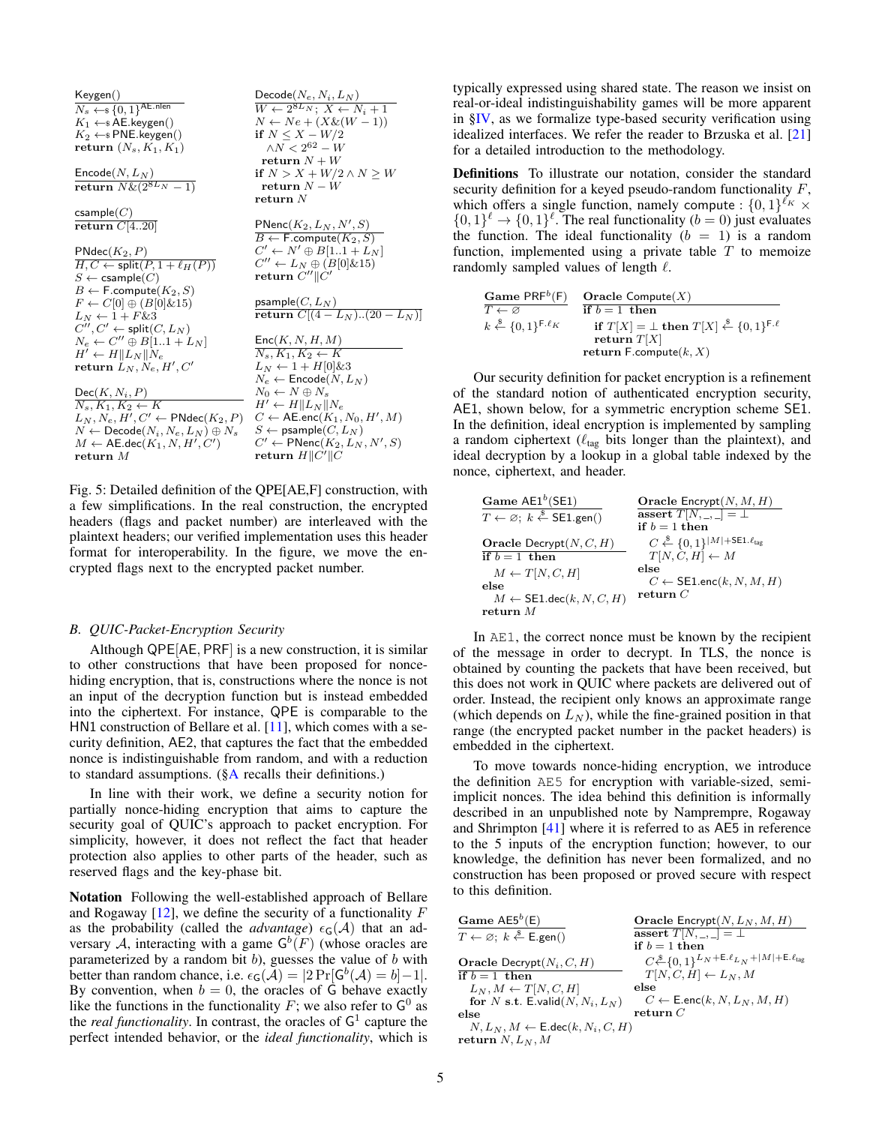<span id="page-4-1"></span>

| Keygen()                                                 | $\mathsf{Decode}(N_e, N_i, L_N)$                                                           |
|----------------------------------------------------------|--------------------------------------------------------------------------------------------|
| $N_s \leftarrow \{0,1\}^{\text{AE.nlen}}$                | $W \leftarrow 2^{8L_N}; X \leftarrow N_i + 1$                                              |
| $K_1 \leftarrow$ AE.keygen()                             | $N \leftarrow Ne + (X \& (W - 1))$                                                         |
| $K_2 \leftarrow s$ PNE.keygen()                          | if $N \leq X - W/2$                                                                        |
| return $(N_s, K_1, K_1)$                                 | $\wedge N < 2^{62} - W$                                                                    |
|                                                          | return $N+W$                                                                               |
| $\mathsf{Encode}(N,L_N)$                                 | if $N > X + W/2 \wedge N \geq W$                                                           |
| return $N\&(2^{8L_N}-1)$                                 | return $N-W$                                                                               |
|                                                          | return N                                                                                   |
| $\mathsf{csample}(C)$                                    |                                                                                            |
| return $\overline{C[420]}$                               | $\frac{\mathsf{PNenc}(K_2, L_N, N', S)}{B \leftarrow \mathsf{F}.\mathsf{compute}(K_2, S)}$ |
|                                                          |                                                                                            |
| $\mathsf{PNdec}(K_2,P)$                                  | $C' \leftarrow N' \oplus B[11+L_N]$                                                        |
| $H, C \leftarrow$ split $(P, 1 + \ell_H(P))$             | $C'' \leftarrow L_N \oplus (B[0] \& 15)$                                                   |
| $S \leftarrow$ csample $(C)$                             | return $C''$ $  C'$                                                                        |
| $B \leftarrow$ F.compute $(K_2, S)$                      |                                                                                            |
| $F \leftarrow C[0] \oplus (B[0] \& 15)$                  | psample $(C, L_N)$                                                                         |
| $L_N \leftarrow 1 + F\&3$                                | return $C[(4 - L_N)(20 - L_N)]$                                                            |
| $C'', C' \leftarrow \mathsf{split}(C, L_N)$              |                                                                                            |
| $N_e \leftarrow C'' \oplus B[11 + L_N]$                  | Enc(K, N, H, M)                                                                            |
| $H' \leftarrow H    L_N    N_e$                          | $\overline{N_s, K_1, K_2 \leftarrow K}$                                                    |
| return $L_N, N_e, H', C'$                                | $L_N \leftarrow 1 + H[0] \& 3$                                                             |
|                                                          | $N_e \leftarrow$ Encode $(N, L_N)$                                                         |
| $Dec(K, N_i, P)$                                         | $N_0 \leftarrow N \oplus N_s$                                                              |
| $N_s, K_1, K_2 \leftarrow K$                             | $H' \leftarrow H    L_N    N_e$                                                            |
| $L_N, N_e, H', C' \leftarrow \textsf{PNdec}(K_2, P)$     | $C \leftarrow \mathsf{AE}.\mathsf{enc}(K_1, N_0, H', M)$                                   |
| $N \leftarrow \textsf{Decode}(N_i, N_e, L_N) \oplus N_s$ | $S \leftarrow$ psample $(C, L_N)$                                                          |
| $M \leftarrow \mathsf{AE}\text{.dec}(K_1, N, H', C')$    | $C' \leftarrow \textsf{PNenc}(K_2, L_N, N', S)$                                            |
| return M                                                 | return $H  C'  C$                                                                          |

Fig. 5: Detailed definition of the QPE[AE,F] construction, with a few simplifications. In the real construction, the encrypted headers (flags and packet number) are interleaved with the plaintext headers; our verified implementation uses this header format for interoperability. In the figure, we move the encrypted flags next to the encrypted packet number.

#### <span id="page-4-0"></span>*B. QUIC-Packet-Encryption Security*

Although QPE[AE, PRF] is a new construction, it is similar to other constructions that have been proposed for noncehiding encryption, that is, constructions where the nonce is not an input of the decryption function but is instead embedded into the ciphertext. For instance, QPE is comparable to the HN1 construction of Bellare et al. [\[11\]](#page-15-7), which comes with a security definition, AE2, that captures the fact that the embedded nonce is indistinguishable from random, and with a reduction to standard assumptions.  $(\S{A}$  recalls their definitions.)

In line with their work, we define a security notion for partially nonce-hiding encryption that aims to capture the security goal of QUIC's approach to packet encryption. For simplicity, however, it does not reflect the fact that header protection also applies to other parts of the header, such as reserved flags and the key-phase bit.

Notation Following the well-established approach of Bellare and Rogaway  $[12]$ , we define the security of a functionality  $F$ as the probability (called the *advantage*)  $\epsilon_G(A)$  that an adversary A, interacting with a game  $G^b(F)$  (whose oracles are parameterized by a random bit  $b$ ), guesses the value of  $b$  with better than random chance, i.e.  $\epsilon_G(\tilde{\mathcal{A}}) = |2 \Pr[G^b(\mathcal{A}) = b] - 1|$ . By convention, when  $b = 0$ , the oracles of G behave exactly like the functions in the functionality  $F$ ; we also refer to  $G^0$  as the *real functionality*. In contrast, the oracles of  $G<sup>1</sup>$  capture the perfect intended behavior, or the *ideal functionality*, which is

typically expressed using shared state. The reason we insist on real-or-ideal indistinguishability games will be more apparent in [§IV,](#page-7-0) as we formalize type-based security verification using idealized interfaces. We refer the reader to Brzuska et al. [\[21\]](#page-15-14) for a detailed introduction to the methodology.

Definitions To illustrate our notation, consider the standard security definition for a keyed pseudo-random functionality  $F$ , which offers a single function, namely compute :  $\{0,1\}^{\ell_K}$   $\times$  $\{0,1\}^{\ell} \rightarrow \{0,1\}^{\ell}$ . The real functionality  $(b = 0)$  just evaluates the function. The ideal functionality  $(b = 1)$  is a random function, implemented using a private table  $T$  to memoize randomly sampled values of length  $\ell$ .

$$
\begin{array}{ll}\textbf{Game } \textsf{PRF}^b(\mathsf{F}) & \textbf{Oracle Compute}(X) \\ \overline{T \leftarrow \varnothing} & \textbf{if } b = 1 \textbf{ then} \\ k \stackrel{\hspace{0.1em}\mathsf{\scriptscriptstyle\$}}{\leftarrow} \{0,1\}^{\mathsf{F.\ell_K}} & \textbf{if } T[X] = \bot \textbf{ then } T[X] \stackrel{\hspace{0.1em}\mathsf{\scriptscriptstyle\$}}{\leftarrow} \{0,1\}^{\mathsf{F.\ell}} \\ \textbf{return } T[X] & \textbf{return } \mathsf{F}.\textbf{compute}(k, X) \end{array}
$$

Our security definition for packet encryption is a refinement of the standard notion of authenticated encryption security, AE1, shown below, for a symmetric encryption scheme SE1. In the definition, ideal encryption is implemented by sampling a random ciphertext ( $\ell_{\text{tag}}$  bits longer than the plaintext), and ideal decryption by a lookup in a global table indexed by the nonce, ciphertext, and header.

| Game $AE1^b$ (SE1)                                                 | Oracle $\mathsf{Encrypt}(N, M, H)$                                         |
|--------------------------------------------------------------------|----------------------------------------------------------------------------|
| $T \leftarrow \emptyset$ ; $k \stackrel{\$}{\leftarrow}$ SE1.gen() | assert $T[N, \_, \_]=\bot$                                                 |
|                                                                    | if $b=1$ then                                                              |
| <b>Oracle</b> Decrypt $(N, C, H)$                                  | $C \stackrel{\$}{\leftarrow} \{0,1\}^{ M +\mathsf{SE1}.\ell_{\text{tag}}}$ |
| if $b=1$ then                                                      | $T[N, C, H] \leftarrow M$                                                  |
| $M \leftarrow T[N, C, H]$                                          | else                                                                       |
| else                                                               | $C \leftarrow$ SE1.enc(k, N, M, H)                                         |
| $M \leftarrow$ SE1.dec(k, N, C, H)                                 | return $C$                                                                 |
| return $M$                                                         |                                                                            |

In AE1, the correct nonce must be known by the recipient of the message in order to decrypt. In TLS, the nonce is obtained by counting the packets that have been received, but this does not work in QUIC where packets are delivered out of order. Instead, the recipient only knows an approximate range (which depends on  $L_N$ ), while the fine-grained position in that range (the encrypted packet number in the packet headers) is embedded in the ciphertext.

To move towards nonce-hiding encryption, we introduce the definition AE5 for encryption with variable-sized, semiimplicit nonces. The idea behind this definition is informally described in an unpublished note by Namprempre, Rogaway and Shrimpton [\[41\]](#page-15-8) where it is referred to as AE5 in reference to the 5 inputs of the encryption function; however, to our knowledge, the definition has never been formalized, and no construction has been proposed or proved secure with respect to this definition.

| Game $AES^b(E)$                                                    | <b>Oracle</b> Encrypt $(N, L_N, M, H)$                                                     |
|--------------------------------------------------------------------|--------------------------------------------------------------------------------------------|
| $T \leftarrow \varnothing$ ; $k \stackrel{\$}{\leftarrow}$ E.gen() | assert $T[N, \_, \_]=\bot$                                                                 |
|                                                                    | if $b=1$ then                                                                              |
| <b>Oracle</b> Decrypt $(N_i, C, H)$                                | $C \xleftarrow{\$} \{0,1\}^{L_N + \text{E}.\ell_{L_N} +  M  + \text{E}.\ell_{\text{tag}}}$ |
| if $b=1$ then                                                      | $T[N, C, H] \leftarrow L_N, M$                                                             |
| $L_N, M \leftarrow T[N, C, H]$                                     | else                                                                                       |
| for N s.t. E.valid $(N, N_i, L_N)$                                 | $C \leftarrow \mathsf{E}.\mathsf{enc}(k, N, L_N, M, H)$                                    |
| else                                                               | return C                                                                                   |
| $N, L_N, M \leftarrow \mathsf{E.deg}(k, N_i, C, H)$                |                                                                                            |
| return $N, L_N, M$                                                 |                                                                                            |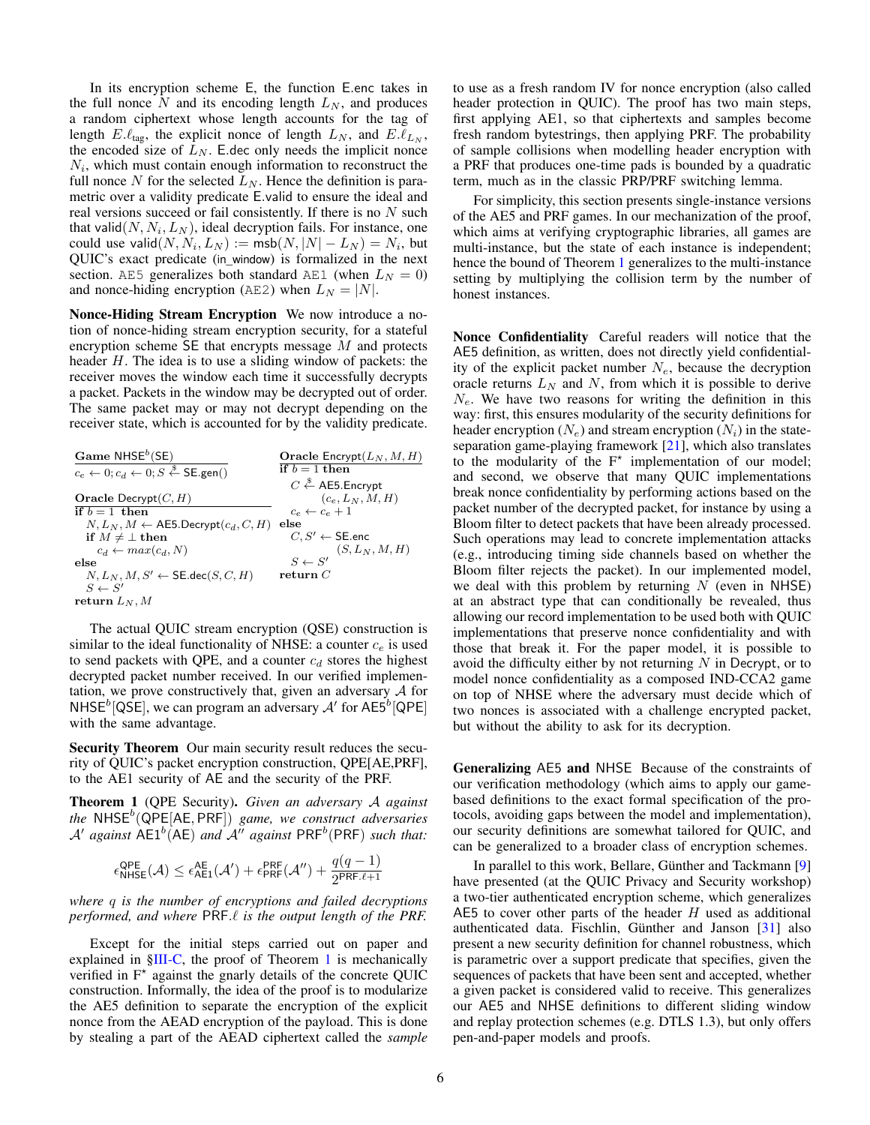In its encryption scheme E, the function E.enc takes in the full nonce N and its encoding length  $L_N$ , and produces a random ciphertext whose length accounts for the tag of length  $E.\ell_{\text{tag}}$ , the explicit nonce of length  $L_N$ , and  $E.\ell_{L_N}$ , the encoded size of  $L_N$ . E.dec only needs the implicit nonce  $N_i$ , which must contain enough information to reconstruct the full nonce N for the selected  $L<sub>N</sub>$ . Hence the definition is parametric over a validity predicate E.valid to ensure the ideal and real versions succeed or fail consistently. If there is no  $N$  such that valid $(N, N_i, L_N)$ , ideal decryption fails. For instance, one could use valid $(N, N_i, L_N) := \textsf{msb}(N, |N| - L_N) = N_i$ , but QUIC's exact predicate (in\_window) is formalized in the next section. AE5 generalizes both standard AE1 (when  $L<sub>N</sub> = 0$ ) and nonce-hiding encryption (AE2) when  $L<sub>N</sub> = |N|$ .

Nonce-Hiding Stream Encryption We now introduce a notion of nonce-hiding stream encryption security, for a stateful encryption scheme  $SE$  that encrypts message  $M$  and protects header H. The idea is to use a sliding window of packets: the receiver moves the window each time it successfully decrypts a packet. Packets in the window may be decrypted out of order. The same packet may or may not decrypt depending on the receiver state, which is accounted for by the validity predicate.

| Game $NHSEb(SE)$                                                                 | <b>Oracle</b> Encrypt $(L_N, M, H)$        |
|----------------------------------------------------------------------------------|--------------------------------------------|
| $c_e \leftarrow 0$ ; $c_d \leftarrow 0$ ; $S \stackrel{\$}{\leftarrow}$ SE.gen() | if $b=1$ then                              |
|                                                                                  | $C \stackrel{\$}{\leftarrow}$ AE5. Encrypt |
| Oracle Decrypt $(C, H)$                                                          | $(c_e, L_N, M, H)$                         |
| if $b=1$ then                                                                    | $c_e \leftarrow c_e + 1$                   |
| $N, L_N, M \leftarrow$ AE5.Decrypt $(c_d, C, H)$ else                            |                                            |
| if $M \neq \perp$ then                                                           | $C, S' \leftarrow$ SE.enc                  |
| $c_d \leftarrow max(c_d, N)$                                                     | $S \leftarrow S'$ $(S, L_N, M, H)$         |
| else                                                                             |                                            |
| $N, L_N, M, S' \leftarrow \mathsf{SE.deg}(S, C, H)$                              | ${\bf return} \ C$                         |
| $S \leftarrow S'$                                                                |                                            |
| return $L_N, M$                                                                  |                                            |

The actual QUIC stream encryption (QSE) construction is similar to the ideal functionality of NHSE: a counter  $c_e$  is used to send packets with QPE, and a counter  $c_d$  stores the highest decrypted packet number received. In our verified implementation, we prove constructively that, given an adversary  $A$  for NHSE<sup>b</sup>[QSE], we can program an adversary  $A'$  for AE5<sup>b</sup>[QPE] with the same advantage.

Security Theorem Our main security result reduces the security of QUIC's packet encryption construction, QPE[AE,PRF], to the AE1 security of AE and the security of the PRF.

<span id="page-5-0"></span>Theorem 1 (QPE Security). *Given an adversary* A *against the* NHSE<sup>b</sup> (QPE[AE, PRF]) *game, we construct adversaries*  $\mathcal{A}'$  against  $\mathsf{A}\mathsf{E}1^b(\mathsf{A}\mathsf{E})$  and  $\mathcal{A}''$  against  $\mathsf{PRF}^b(\mathsf{PRF})$  such that:

$$
\epsilon_{\mathsf{NHSE}}^{\mathsf{QPE}}(\mathcal{A}) \leq \epsilon_{\mathsf{AEI}}^{\mathsf{AE}}(\mathcal{A}') + \epsilon_{\mathsf{PRF}}^{\mathsf{PRF}}(\mathcal{A}'') + \frac{q(q-1)}{2^{\mathsf{PRF}.\ell+1}}
$$

*where* q *is the number of encryptions and failed decryptions performed, and where* PRF. $\ell$  *is the output length of the PRF.* 

Except for the initial steps carried out on paper and explained in  $\S$ III-C, the proof of Theorem [1](#page-5-0) is mechanically verified in  $F^*$  against the gnarly details of the concrete QUIC construction. Informally, the idea of the proof is to modularize the AE5 definition to separate the encryption of the explicit nonce from the AEAD encryption of the payload. This is done by stealing a part of the AEAD ciphertext called the *sample* to use as a fresh random IV for nonce encryption (also called header protection in QUIC). The proof has two main steps, first applying AE1, so that ciphertexts and samples become fresh random bytestrings, then applying PRF. The probability of sample collisions when modelling header encryption with a PRF that produces one-time pads is bounded by a quadratic term, much as in the classic PRP/PRF switching lemma.

For simplicity, this section presents single-instance versions of the AE5 and PRF games. In our mechanization of the proof, which aims at verifying cryptographic libraries, all games are multi-instance, but the state of each instance is independent; hence the bound of Theorem [1](#page-5-0) generalizes to the multi-instance setting by multiplying the collision term by the number of honest instances.

Nonce Confidentiality Careful readers will notice that the AE5 definition, as written, does not directly yield confidentiality of the explicit packet number  $N_e$ , because the decryption oracle returns  $L_N$  and N, from which it is possible to derive  $N_e$ . We have two reasons for writing the definition in this way: first, this ensures modularity of the security definitions for header encryption  $(N_e)$  and stream encryption  $(N_i)$  in the stateseparation game-playing framework [\[21\]](#page-15-14), which also translates to the modularity of the  $F^*$  implementation of our model; and second, we observe that many QUIC implementations break nonce confidentiality by performing actions based on the packet number of the decrypted packet, for instance by using a Bloom filter to detect packets that have been already processed. Such operations may lead to concrete implementation attacks (e.g., introducing timing side channels based on whether the Bloom filter rejects the packet). In our implemented model, we deal with this problem by returning  $N$  (even in NHSE) at an abstract type that can conditionally be revealed, thus allowing our record implementation to be used both with QUIC implementations that preserve nonce confidentiality and with those that break it. For the paper model, it is possible to avoid the difficulty either by not returning  $N$  in Decrypt, or to model nonce confidentiality as a composed IND-CCA2 game on top of NHSE where the adversary must decide which of two nonces is associated with a challenge encrypted packet, but without the ability to ask for its decryption.

Generalizing AE5 and NHSE Because of the constraints of our verification methodology (which aims to apply our gamebased definitions to the exact formal specification of the protocols, avoiding gaps between the model and implementation), our security definitions are somewhat tailored for QUIC, and can be generalized to a broader class of encryption schemes.

In parallel to this work, Bellare, Günther and Tackmann [\[9\]](#page-15-15) have presented (at the QUIC Privacy and Security workshop) a two-tier authenticated encryption scheme, which generalizes AE5 to cover other parts of the header  $H$  used as additional authenticated data. Fischlin, Günther and Janson [\[31\]](#page-15-16) also present a new security definition for channel robustness, which is parametric over a support predicate that specifies, given the sequences of packets that have been sent and accepted, whether a given packet is considered valid to receive. This generalizes our AE5 and NHSE definitions to different sliding window and replay protection schemes (e.g. DTLS 1.3), but only offers pen-and-paper models and proofs.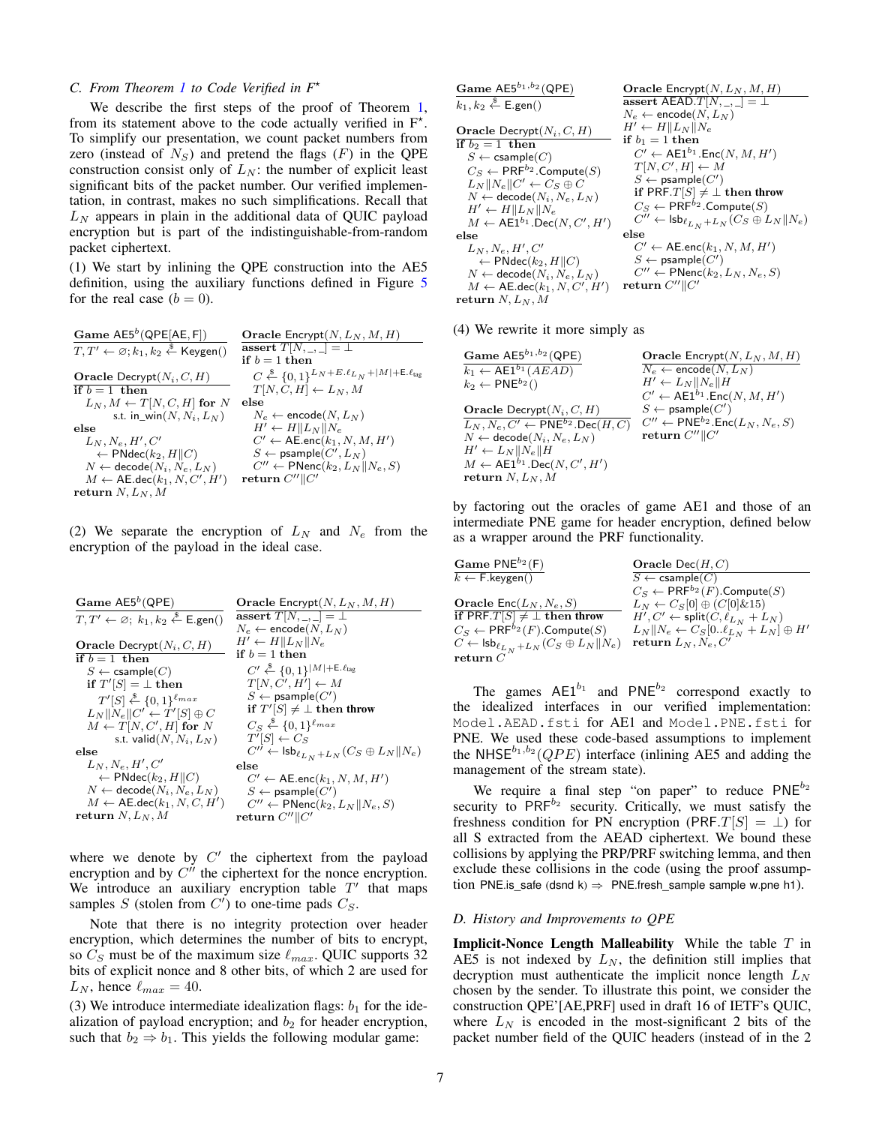## <span id="page-6-1"></span>*C. From Theorem [1](#page-5-0) to Code Verified in F*?

We describe the first steps of the proof of Theorem [1,](#page-5-0) from its statement above to the code actually verified in  $F^*$ . To simplify our presentation, we count packet numbers from zero (instead of  $N_S$ ) and pretend the flags ( $F$ ) in the QPE construction consist only of  $L_N$ : the number of explicit least significant bits of the packet number. Our verified implementation, in contrast, makes no such simplifications. Recall that  $L<sub>N</sub>$  appears in plain in the additional data of QUIC payload encryption but is part of the indistinguishable-from-random packet ciphertext.

(1) We start by inlining the QPE construction into the AE5 definition, using the auxiliary functions defined in Figure [5](#page-4-1) for the real case  $(b = 0)$ .

| Game $AES^b(QPE[AE, F])$                                                  | <b>Oracle</b> Encrypt $(N, L_N, M, H)$                                                        |
|---------------------------------------------------------------------------|-----------------------------------------------------------------------------------------------|
| $T, T' \leftarrow \emptyset; k_1, k_2 \stackrel{\$}{\leftarrow}$ Keygen() | assert $T[N, \_, \_]=\bot$                                                                    |
|                                                                           | if $b=1$ then                                                                                 |
| <b>Oracle</b> Decrypt $(N_i, C, H)$                                       | $C \stackrel{\$}{\leftarrow} \{0,1\}^{L_N + E.\ell_{L_N} +  M  + \text{E}.\ell_{\text{tag}}}$ |
| if $b=1$ then                                                             | $T[N, C, H] \leftarrow L_N, M$                                                                |
| $L_N, M \leftarrow T[N, C, H]$ for N                                      | else                                                                                          |
| s.t. in_win(N, $N_i$ , $L_N$ )                                            | $N_e \leftarrow$ encode $(N, L_N)$                                                            |
| else                                                                      | $H' \leftarrow H \  L_N \  N_e$                                                               |
| $L_N, N_e, H', C'$                                                        | $C' \leftarrow \mathsf{AE}.\mathsf{enc}(k_1, N, M, H')$                                       |
| $\leftarrow$ PNdec $(k_2, H  C)$                                          | $S \leftarrow$ psample $(C', L_N)$                                                            |
| $N \leftarrow$ decode $(N_i, N_e, L_N)$                                   | $C'' \leftarrow \textsf{PNenc}(k_2, L_N    N_e, S)$                                           |
| $M \leftarrow \mathsf{AE}\text{.dec}(k_1, N, C', H')$                     | return $C''$    $C'$                                                                          |
| return $N, L_N, M$                                                        |                                                                                               |

(2) We separate the encryption of  $L_N$  and  $N_e$  from the encryption of the payload in the ideal case.

$$
\begin{array}{ll} \mbox{\textbf{Game} $\mathsf{A}\mathsf{ES}^b(\mathsf{QPE})$} \\ \hline T, T' \leftarrow \varnothing; ~k_1, k_2 \stackrel{\$} \leftarrow \mathsf{E}.\mathsf{gen}()\\ \mbox{\textbf{Oracle} $\mathsf{Decrypt}(N,L_N,\mathcal{M},H)$} \\ \hline \mbox{\textbf{Oracle} $\mathsf{Decrypt}(N_i,C,H)$} & H' \leftarrow \mathsf{encode}(N,L_N) \\ \hline \mbox{\textbf{if} $b=1$ then} \\ S \leftarrow \mathsf{sample}(C) & C' \stackrel{\$} \leftarrow \{0,1\}^{|M|+{\mathsf{E}\cdot\ell_{\text{tag}}$} \\ \hline \mbox{\textbf{if} $T'[S]=\bot$ then} \\ T'[S] \stackrel{\$} \leftarrow \{0,1\}^{\ell}max & S \leftarrow \mathsf{sample}(C') \\ L_N\|N_e\|C' \leftarrow T'[S]\oplus C & \mbox{\textbf{if} $T'[S]\neq\bot$ then} \\ M \leftarrow T[N,C',H] \mbox{\textbf{for} $N$} & S \leftarrow \mathsf{psample}(C') \\ \mbox{\textbf{if} $T'[S]\neq\bot$ then} \\ M \leftarrow T[N,C',H] \mbox{\textbf{for} $N$} & C_S \stackrel{\$} \leftarrow \{0,1\}^{\ell}max \\ \mbox{\textbf{st.} valid}(N,N_i,L_N) & T'[S] \leftarrow C_S \\ C'' \leftarrow \mathsf{lsb}_{\ell L_N}+L_N(C_S \oplus L_N\|N_e) \\ \hline \mbox{\textbf{if} $T'[S] \leftarrow C_S$} & \leftarrow \mathsf{PNdec}(k_2,H\|C) & C' \leftarrow \mathsf{A}\mathsf{E}.\mathsf{enc}(k_1,N,M,H') \\ N \leftarrow \mathsf{decode}(N_i,N_e,L_N) & S \leftarrow \mathsf{psample}(C') \\ M \leftarrow \mathsf{A}\mathsf{E}.\mathsf{dec}(k_1,N,C,H') & C'' \leftarrow \mathsf{PNenc}(k_2,L_N\|N_e,S) \\ \mbox{\textbf{return} $N, L_N, M$} & \mbox{\textbf{return} $C''|C'} \end{array}
$$

where we denote by  $C'$  the ciphertext from the payload encryption and by  $C^{\prime\prime}$  the ciphertext for the nonce encryption. We introduce an auxiliary encryption table  $T'$  that maps samples S (stolen from  $C'$ ) to one-time pads  $C_S$ .

Note that there is no integrity protection over header encryption, which determines the number of bits to encrypt, so  $C_S$  must be of the maximum size  $\ell_{max}$ . QUIC supports 32 bits of explicit nonce and 8 other bits, of which 2 are used for  $L_N$ , hence  $\ell_{max} = 40$ .

(3) We introduce intermediate idealization flags:  $b_1$  for the idealization of payload encryption; and  $b_2$  for header encryption, such that  $b_2 \Rightarrow b_1$ . This yields the following modular game:

Game AE5b1,b<sup>2</sup> (QPE) k1, k<sup>2</sup> ←\$ E.gen() Oracle Decrypt(Ni, C, H) if b<sup>2</sup> = 1 then S ← csample(C) C<sup>S</sup> ← PRFb<sup>2</sup> .Compute(S) L<sup>N</sup> kNekC<sup>0</sup> ← C<sup>S</sup> ⊕ C N ← decode(Ni, Ne, L<sup>N</sup> ) H<sup>0</sup> ← HkL<sup>N</sup> kN<sup>e</sup> M ← AE1b<sup>1</sup> .Dec(N, C<sup>0</sup> , H<sup>0</sup> ) else L<sup>N</sup> , Ne, H<sup>0</sup> , C<sup>0</sup> ← PNdec(k2, HkC) N ← decode(Ni, Ne, L<sup>N</sup> ) M ← AE.dec(k1, N, C<sup>0</sup> , H<sup>0</sup> ) return N, L<sup>N</sup> , M Oracle Encrypt(N, L<sup>N</sup> , M, H) assert AEAD.T[N, \_, \_] = ⊥ N<sup>e</sup> ← encode(N, L<sup>N</sup> ) H<sup>0</sup> ← HkL<sup>N</sup> kN<sup>e</sup> if b<sup>1</sup> = 1 then C<sup>0</sup> ← AE1b<sup>1</sup> .Enc(N, M, H<sup>0</sup> ) T[N, C<sup>0</sup> , H] ← M S ← psample(C<sup>0</sup> ) if PRF.T[S] 6= ⊥ then throw C<sup>S</sup> ← PRFb<sup>2</sup> .Compute(S) <sup>C</sup><sup>00</sup> <sup>←</sup> lsb`LN +LN (C<sup>S</sup> ⊕ L<sup>N</sup> kNe) else C<sup>0</sup> ← AE.enc(k1, N, M, H<sup>0</sup> ) S ← psample(C<sup>0</sup> ) C<sup>00</sup> ← PNenc(k2, L<sup>N</sup> , Ne, S) return C00kC<sup>0</sup>

(4) We rewrite it more simply as

| <b>Oracle Encrypt</b> $(N, L_N, M, H)$                             |
|--------------------------------------------------------------------|
| $N_e \leftarrow$ encode $(N, L_N)$                                 |
| $H' \leftarrow L_N   N_e  H$                                       |
| $C' \leftarrow \mathsf{A}\mathsf{E}1^{b_1}.\mathsf{Enc}(N, M, H')$ |
| $S \leftarrow$ psample $(C')$                                      |
| $C'' \leftarrow \mathsf{PNE}^{b_2}.\mathsf{Enc}(L_N, N_e, S)$      |
| return $C''$   C'                                                  |
|                                                                    |
|                                                                    |
|                                                                    |
|                                                                    |

by factoring out the oracles of game AE1 and those of an intermediate PNE game for header encryption, defined below as a wrapper around the PRF functionality.

| $\bf{Game}$ $\mathsf{PNE}^{b_2}(\mathsf{F})$                          | Oracle $Dec(H, C)$                                      |
|-----------------------------------------------------------------------|---------------------------------------------------------|
| $k \leftarrow \mathsf{F}.\mathsf{keygen}()$                           | $S \leftarrow$ csample $(C)$                            |
|                                                                       | $C_S \leftarrow \mathsf{PRF}^{b_2}(F)$ . Compute $(S)$  |
| Oracle $Enc(L_N, N_e, S)$                                             | $L_N \leftarrow C_S[0] \oplus (C[0] \& 15)$             |
| if PRF. $T[S] \neq \bot$ then throw                                   | $H', C' \leftarrow \mathsf{split}(C, \ell_{L_N} + L_N)$ |
| $C_S \leftarrow \mathsf{PRF}^{b_2}(F)$ . Compute $(S)$                | $L_N  N_e \leftarrow C_S[0l_{L_N} + L_N] \oplus H'$     |
| $C \leftarrow \mathsf{lsb}_{\ell_{L_N} + L_N}(C_S \oplus L_N    N_e)$ | return $L_N, N_e, C'$                                   |
| ${\bf return}$ $C$                                                    |                                                         |

The games  $AE1^{b_1}$  and  $PNE^{b_2}$  correspond exactly to the idealized interfaces in our verified implementation: Model.AEAD.fsti for AE1 and Model.PNE.fsti for PNE. We used these code-based assumptions to implement the NHSE $^{b_1, b_2}(QPE)$  interface (inlining AE5 and adding the management of the stream state).

We require a final step "on paper" to reduce  $PNE^{b_2}$ security to  $\mathsf{PRF}^{b_2}$  security. Critically, we must satisfy the freshness condition for PN encryption (PRF. $T[S] = \bot$ ) for all S extracted from the AEAD ciphertext. We bound these collisions by applying the PRP/PRF switching lemma, and then exclude these collisions in the code (using the proof assumption PNE.is\_safe (dsnd k)  $\Rightarrow$  PNE.fresh\_sample sample w.pne h1).

#### <span id="page-6-0"></span>*D. History and Improvements to QPE*

**Implicit-Nonce Length Malleability** While the table  $T$  in AE5 is not indexed by  $L_N$ , the definition still implies that decryption must authenticate the implicit nonce length  $L<sub>N</sub>$ chosen by the sender. To illustrate this point, we consider the construction QPE'[AE,PRF] used in draft 16 of IETF's QUIC, where  $L<sub>N</sub>$  is encoded in the most-significant 2 bits of the packet number field of the QUIC headers (instead of in the 2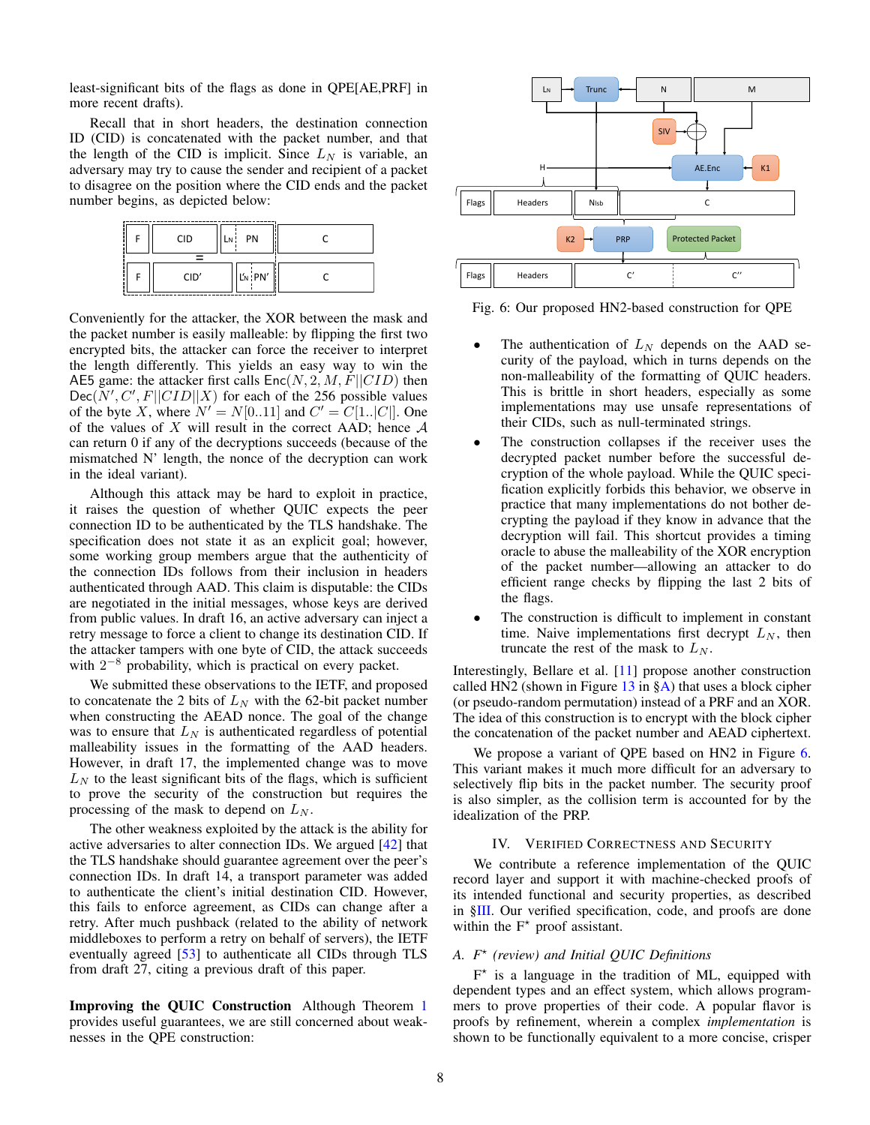least-significant bits of the flags as done in QPE[AE,PRF] in more recent drafts).

Recall that in short headers, the destination connection ID (CID) is concatenated with the packet number, and that the length of the CID is implicit. Since  $L<sub>N</sub>$  is variable, an adversary may try to cause the sender and recipient of a packet to disagree on the position where the CID ends and the packet number begins, as depicted below:



Conveniently for the attacker, the XOR between the mask and the packet number is easily malleable: by flipping the first two encrypted bits, the attacker can force the receiver to interpret the length differently. This yields an easy way to win the AE5 game: the attacker first calls  $Enc(N, 2, M, F||CID)$  then  $Dec(N', C', F||CID||X)$  for each of the 256 possible values of the byte X, where  $N' = N[0..11]$  and  $C' = C[1..|C|]$ . One of the values of X will result in the correct AAD; hence  $A$ can return 0 if any of the decryptions succeeds (because of the mismatched N' length, the nonce of the decryption can work in the ideal variant).

Although this attack may be hard to exploit in practice, it raises the question of whether QUIC expects the peer connection ID to be authenticated by the TLS handshake. The specification does not state it as an explicit goal; however, some working group members argue that the authenticity of the connection IDs follows from their inclusion in headers authenticated through AAD. This claim is disputable: the CIDs are negotiated in the initial messages, whose keys are derived from public values. In draft 16, an active adversary can inject a retry message to force a client to change its destination CID. If the attacker tampers with one byte of CID, the attack succeeds with  $2^{-8}$  probability, which is practical on every packet.

We submitted these observations to the IETF, and proposed to concatenate the 2 bits of  $L<sub>N</sub>$  with the 62-bit packet number when constructing the AEAD nonce. The goal of the change was to ensure that  $L_N$  is authenticated regardless of potential malleability issues in the formatting of the AAD headers. However, in draft 17, the implemented change was to move  $L<sub>N</sub>$  to the least significant bits of the flags, which is sufficient to prove the security of the construction but requires the processing of the mask to depend on  $L<sub>N</sub>$ .

The other weakness exploited by the attack is the ability for active adversaries to alter connection IDs. We argued [\[42\]](#page-15-9) that the TLS handshake should guarantee agreement over the peer's connection IDs. In draft 14, a transport parameter was added to authenticate the client's initial destination CID. However, this fails to enforce agreement, as CIDs can change after a retry. After much pushback (related to the ability of network middleboxes to perform a retry on behalf of servers), the IETF eventually agreed [\[53\]](#page-16-2) to authenticate all CIDs through TLS from draft 27, citing a previous draft of this paper.

Improving the QUIC Construction Although Theorem [1](#page-5-0) provides useful guarantees, we are still concerned about weaknesses in the QPE construction:

<span id="page-7-1"></span>

Fig. 6: Our proposed HN2-based construction for QPE

- The authentication of  $L<sub>N</sub>$  depends on the AAD security of the payload, which in turns depends on the non-malleability of the formatting of QUIC headers. This is brittle in short headers, especially as some implementations may use unsafe representations of their CIDs, such as null-terminated strings.
- The construction collapses if the receiver uses the decrypted packet number before the successful decryption of the whole payload. While the QUIC specification explicitly forbids this behavior, we observe in practice that many implementations do not bother decrypting the payload if they know in advance that the decryption will fail. This shortcut provides a timing oracle to abuse the malleability of the XOR encryption of the packet number—allowing an attacker to do efficient range checks by flipping the last 2 bits of the flags.
- The construction is difficult to implement in constant time. Naive implementations first decrypt  $L_N$ , then truncate the rest of the mask to  $L_N$ .

Interestingly, Bellare et al. [\[11\]](#page-15-7) propose another construction called HN2 (shown in Figure  $13$  in  $\S$ A) that uses a block cipher (or pseudo-random permutation) instead of a PRF and an XOR. The idea of this construction is to encrypt with the block cipher the concatenation of the packet number and AEAD ciphertext.

We propose a variant of QPE based on HN2 in Figure [6.](#page-7-1) This variant makes it much more difficult for an adversary to selectively flip bits in the packet number. The security proof is also simpler, as the collision term is accounted for by the idealization of the PRP.

#### IV. VERIFIED CORRECTNESS AND SECURITY

<span id="page-7-0"></span>We contribute a reference implementation of the QUIC record layer and support it with machine-checked proofs of its intended functional and security properties, as described in [§III.](#page-3-2) Our verified specification, code, and proofs are done within the  $F^*$  proof assistant.

# <span id="page-7-2"></span>*A. F*? *(review) and Initial QUIC Definitions*

 $F^*$  is a language in the tradition of ML, equipped with dependent types and an effect system, which allows programmers to prove properties of their code. A popular flavor is proofs by refinement, wherein a complex *implementation* is shown to be functionally equivalent to a more concise, crisper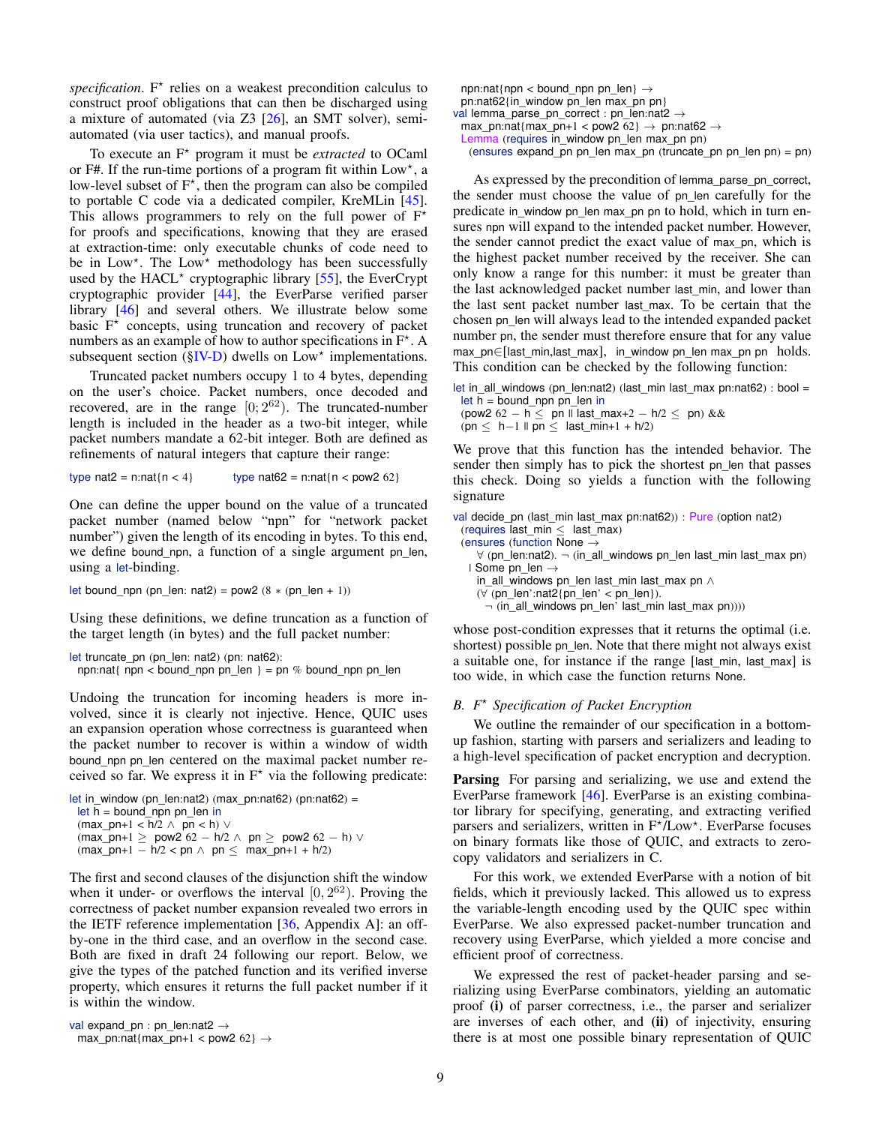specification.  $F^*$  relies on a weakest precondition calculus to construct proof obligations that can then be discharged using a mixture of automated (via Z3 [\[26\]](#page-15-17), an SMT solver), semiautomated (via user tactics), and manual proofs.

To execute an F<sup>\*</sup> program it must be *extracted* to OCaml or F#. If the run-time portions of a program fit within Low\*, a low-level subset of  $F^*$ , then the program can also be compiled to portable C code via a dedicated compiler, KreMLin [\[45\]](#page-15-18). This allows programmers to rely on the full power of  $F^*$ for proofs and specifications, knowing that they are erased at extraction-time: only executable chunks of code need to be in Low\*. The Low\* methodology has been successfully used by the HACL<sup>\*</sup> cryptographic library [\[55\]](#page-16-7), the EverCrypt cryptographic provider [\[44\]](#page-15-11), the EverParse verified parser library [\[46\]](#page-15-19) and several others. We illustrate below some basic  $F^*$  concepts, using truncation and recovery of packet numbers as an example of how to author specifications in  $F^*$ . A subsequent section  $(SIV-D)$  dwells on  $Low^*$  implementations.

Truncated packet numbers occupy 1 to 4 bytes, depending on the user's choice. Packet numbers, once decoded and recovered, are in the range  $[0; 2^{62})$ . The truncated-number length is included in the header as a two-bit integer, while packet numbers mandate a 62-bit integer. Both are defined as refinements of natural integers that capture their range:

type nat2 = n:nat{n < 4} type nat62 = n:nat{n < pow2 62}

One can define the upper bound on the value of a truncated packet number (named below "npn" for "network packet number") given the length of its encoding in bytes. To this end, we define bound\_npn, a function of a single argument pn\_len, using a let-binding.

let bound\_npn (pn\_len: nat2) = pow2  $(8 * (pn_{en} + 1))$ 

Using these definitions, we define truncation as a function of the target length (in bytes) and the full packet number:

```
let truncate_pn (pn_len: nat2) (pn: nat62):
 npn:nat{ npn < bound_npn pn_len } = pn % bound_npn pn_len
```
Undoing the truncation for incoming headers is more involved, since it is clearly not injective. Hence, QUIC uses an expansion operation whose correctness is guaranteed when the packet number to recover is within a window of width bound\_npn pn\_len centered on the maximal packet number received so far. We express it in  $F^*$  via the following predicate:

```
let in_window (pn_len:nat2) (max_pn:nat62) (pn:nat62) =
 let h = bound npn pn_len in
 (max\_pn+1 < h/2 \wedge pn < h)(max\_pn+1 \geq pow2 62 - h/2 \land pn \geq pow2 62 - h) ∨
 (max\_pn+1 - h/2 < pn \wedge pn \leq max\_pn+1 + h/2)
```
The first and second clauses of the disjunction shift the window when it under- or overflows the interval  $[0, 2^{62})$ . Proving the correctness of packet number expansion revealed two errors in the IETF reference implementation [\[36,](#page-15-3) Appendix A]: an offby-one in the third case, and an overflow in the second case. Both are fixed in draft 24 following our report. Below, we give the types of the patched function and its verified inverse property, which ensures it returns the full packet number if it is within the window.

```
val expand_pn : pn_len:nat2 →
 max_pn:nat{max_pn+1 < pow2 62} \rightarrow
```

```
npn:nat{npn < bound_npn pn_len\} \rightarrowpn:nat62{in_window pn_len max_pn pn}
val lemma_parse_pn_correct : pn_len:nat2 →
 max_pn:nat{max_pn+1 < pow2 62} \rightarrow pn:nat62 \rightarrowLemma (requires in_window pn_len max_pn pn)
```
(ensures expand\_pn pn\_len max\_pn (truncate\_pn pn\_len pn) = pn)

As expressed by the precondition of lemma\_parse\_pn\_correct, the sender must choose the value of pn\_len carefully for the predicate in\_window pn\_len max\_pn pn to hold, which in turn ensures npn will expand to the intended packet number. However, the sender cannot predict the exact value of max\_pn, which is the highest packet number received by the receiver. She can only know a range for this number: it must be greater than the last acknowledged packet number last\_min, and lower than the last sent packet number last\_max. To be certain that the chosen pn\_len will always lead to the intended expanded packet number pn, the sender must therefore ensure that for any value max\_pn∈[last\_min,last\_max], in\_window pn\_len max\_pn pn holds. This condition can be checked by the following function:

```
let in_all_windows (pn_len:nat2) (last_min last_max pn:nat62) : bool =
 let h = bound npn pn_len in
 (pow2 62 − h ≤ pn || last_max+2 − h/2 ≤ pn) &&
 (pn ≤ h-1 \parallel pn ≤ last=min+1 + h/2)
```
We prove that this function has the intended behavior. The sender then simply has to pick the shortest pn\_len that passes this check. Doing so yields a function with the following signature

```
val decide_pn (last_min last_max pn:nat62)) : Pure (option nat2)
 (requires last min < last max)(ensures (function None \rightarrow∀ (pn len:nat2). ¬ (in all windows pn len last min last max pn)| Some pn_len →
    in all windows pn_len last_min last_max pn ∧(∀ (pn_len':nat2{pn_len' < pn_len}).
      ¬ (in_all_windows pn_len' last_min last_max pn))))
```
whose post-condition expresses that it returns the optimal (i.e. shortest) possible pn len. Note that there might not always exist a suitable one, for instance if the range [last\_min, last\_max] is too wide, in which case the function returns None.

## <span id="page-8-0"></span>*B. F*? *Specification of Packet Encryption*

We outline the remainder of our specification in a bottomup fashion, starting with parsers and serializers and leading to a high-level specification of packet encryption and decryption.

Parsing For parsing and serializing, we use and extend the EverParse framework [\[46\]](#page-15-19). EverParse is an existing combinator library for specifying, generating, and extracting verified parsers and serializers, written in F<sup>\*</sup>/Low<sup>\*</sup>. EverParse focuses on binary formats like those of QUIC, and extracts to zerocopy validators and serializers in C.

For this work, we extended EverParse with a notion of bit fields, which it previously lacked. This allowed us to express the variable-length encoding used by the QUIC spec within EverParse. We also expressed packet-number truncation and recovery using EverParse, which yielded a more concise and efficient proof of correctness.

We expressed the rest of packet-header parsing and serializing using EverParse combinators, yielding an automatic proof (i) of parser correctness, i.e., the parser and serializer are inverses of each other, and (ii) of injectivity, ensuring there is at most one possible binary representation of QUIC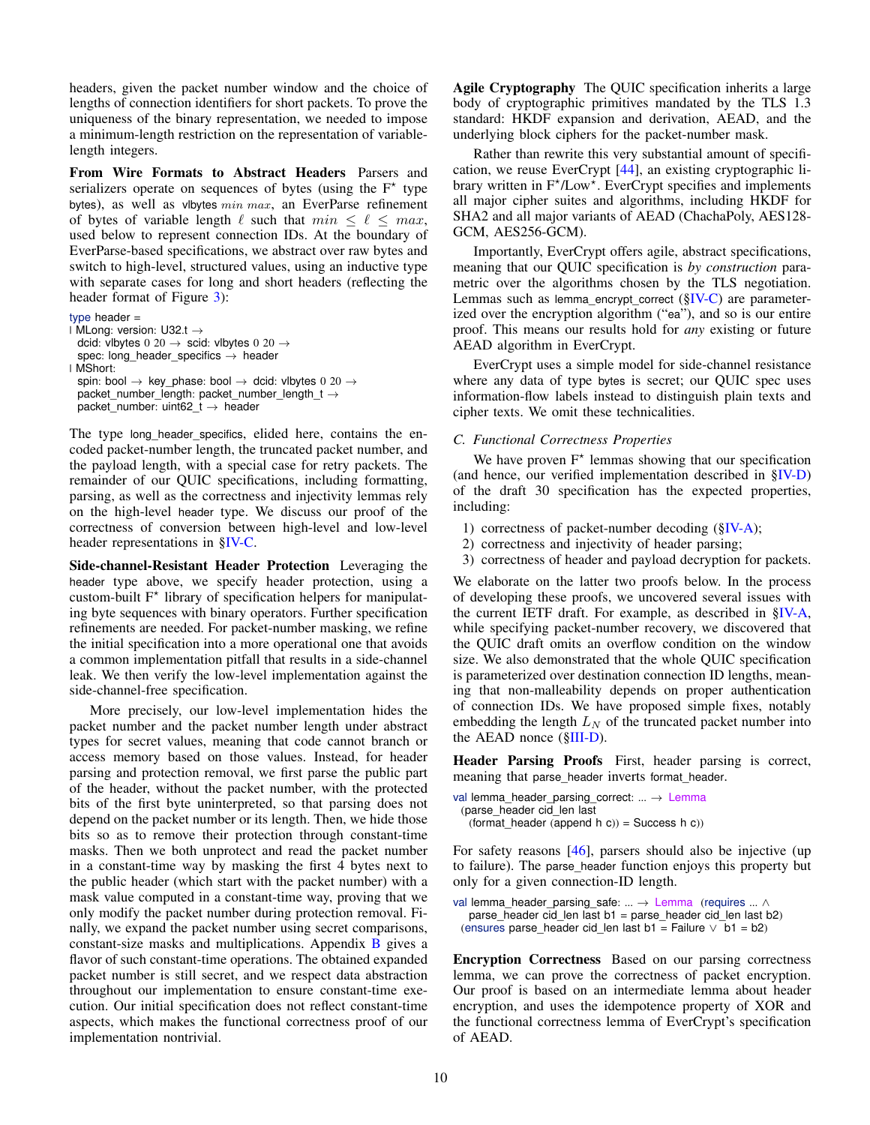headers, given the packet number window and the choice of lengths of connection identifiers for short packets. To prove the uniqueness of the binary representation, we needed to impose a minimum-length restriction on the representation of variablelength integers.

From Wire Formats to Abstract Headers Parsers and serializers operate on sequences of bytes (using the  $F^*$  type bytes), as well as vibytes  $min$   $max$ , an EverParse refinement of bytes of variable length  $\ell$  such that  $min \leq \ell \leq max$ , used below to represent connection IDs. At the boundary of EverParse-based specifications, we abstract over raw bytes and switch to high-level, structured values, using an inductive type with separate cases for long and short headers (reflecting the header format of Figure [3\)](#page-2-0):

```
type header =
\overline{\phantom{a}} MLong: version: U32.t \rightarrowdcid: vlbytes 0 20 \rightarrow scid: vlbytes 0 20 \rightarrowspec: long_header_specifics \rightarrow header
| MShort:
  spin: bool \rightarrow key_phase: bool \rightarrow dcid: vlbytes 0 20 \rightarrowpacket_number_length: packet_number_length_t →
  packet_number: uint62_t \rightarrow header
```
The type long\_header\_specifics, elided here, contains the encoded packet-number length, the truncated packet number, and the payload length, with a special case for retry packets. The remainder of our QUIC specifications, including formatting, parsing, as well as the correctness and injectivity lemmas rely on the high-level header type. We discuss our proof of the correctness of conversion between high-level and low-level header representations in [§IV-C.](#page-9-0)

Side-channel-Resistant Header Protection Leveraging the header type above, we specify header protection, using a custom-built F<sup>\*</sup> library of specification helpers for manipulating byte sequences with binary operators. Further specification refinements are needed. For packet-number masking, we refine the initial specification into a more operational one that avoids a common implementation pitfall that results in a side-channel leak. We then verify the low-level implementation against the side-channel-free specification.

More precisely, our low-level implementation hides the packet number and the packet number length under abstract types for secret values, meaning that code cannot branch or access memory based on those values. Instead, for header parsing and protection removal, we first parse the public part of the header, without the packet number, with the protected bits of the first byte uninterpreted, so that parsing does not depend on the packet number or its length. Then, we hide those bits so as to remove their protection through constant-time masks. Then we both unprotect and read the packet number in a constant-time way by masking the first 4 bytes next to the public header (which start with the packet number) with a mask value computed in a constant-time way, proving that we only modify the packet number during protection removal. Finally, we expand the packet number using secret comparisons, constant-size masks and multiplications. Appendix [B](#page-16-8) gives a flavor of such constant-time operations. The obtained expanded packet number is still secret, and we respect data abstraction throughout our implementation to ensure constant-time execution. Our initial specification does not reflect constant-time aspects, which makes the functional correctness proof of our implementation nontrivial.

Agile Cryptography The QUIC specification inherits a large body of cryptographic primitives mandated by the TLS 1.3 standard: HKDF expansion and derivation, AEAD, and the underlying block ciphers for the packet-number mask.

Rather than rewrite this very substantial amount of specification, we reuse EverCrypt [\[44\]](#page-15-11), an existing cryptographic library written in  $F^{\star}/\text{Low}^{\star}$ . EverCrypt specifies and implements all major cipher suites and algorithms, including HKDF for SHA2 and all major variants of AEAD (ChachaPoly, AES128- GCM, AES256-GCM).

Importantly, EverCrypt offers agile, abstract specifications, meaning that our QUIC specification is *by construction* parametric over the algorithms chosen by the TLS negotiation. Lemmas such as lemma\_encrypt\_correct  $(\S$ IV-C) are parameterized over the encryption algorithm ("ea"), and so is our entire proof. This means our results hold for *any* existing or future AEAD algorithm in EverCrypt.

EverCrypt uses a simple model for side-channel resistance where any data of type bytes is secret; our QUIC spec uses information-flow labels instead to distinguish plain texts and cipher texts. We omit these technicalities.

## <span id="page-9-0"></span>*C. Functional Correctness Properties*

We have proven  $F^*$  lemmas showing that our specification (and hence, our verified implementation described in [§IV-D\)](#page-10-1) of the draft 30 specification has the expected properties, including:

- 1) correctness of packet-number decoding  $(\S IV-A);$
- 2) correctness and injectivity of header parsing;
- 3) correctness of header and payload decryption for packets.

We elaborate on the latter two proofs below. In the process of developing these proofs, we uncovered several issues with the current IETF draft. For example, as described in [§IV-A,](#page-7-2) while specifying packet-number recovery, we discovered that the QUIC draft omits an overflow condition on the window size. We also demonstrated that the whole QUIC specification is parameterized over destination connection ID lengths, meaning that non-malleability depends on proper authentication of connection IDs. We have proposed simple fixes, notably embedding the length  $L<sub>N</sub>$  of the truncated packet number into the AEAD nonce ([§III-D\)](#page-6-0).

Header Parsing Proofs First, header parsing is correct, meaning that parse header inverts format header.

```
val lemma_header_parsing_correct: ... \rightarrow Lemma
 (parse_header cid_len last
   (hormat\_header (append h c)) = Success h c))
```
For safety reasons [\[46\]](#page-15-19), parsers should also be injective (up to failure). The parse\_header function enjoys this property but only for a given connection-ID length.

```
val lemma_header_parsing_safe: ... → Lemma (requires ... ∧
  parse_header cid_len last b1 = parse_header cid_len last b2)
 (ensures parse_header cid_len last b1 = Failure ∨ b1 = b2)
```
Encryption Correctness Based on our parsing correctness lemma, we can prove the correctness of packet encryption. Our proof is based on an intermediate lemma about header encryption, and uses the idempotence property of XOR and the functional correctness lemma of EverCrypt's specification of AEAD.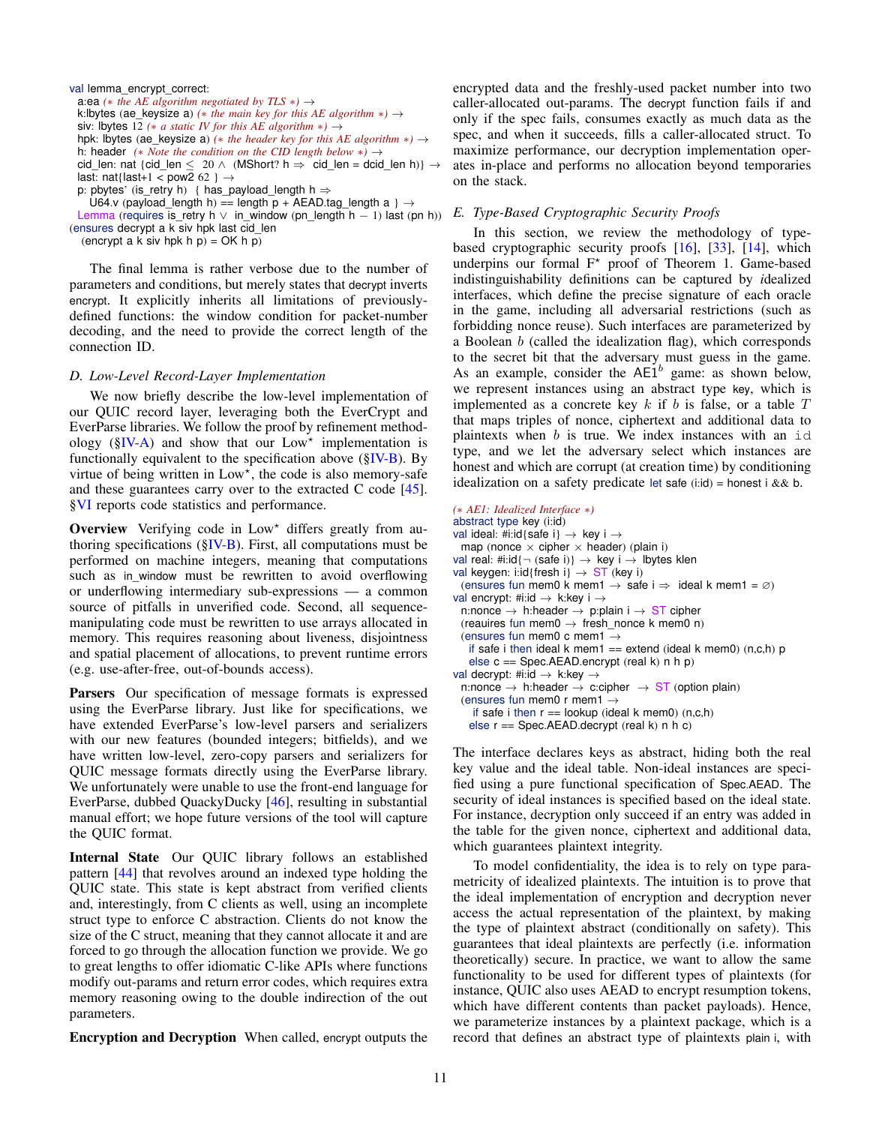val lemma\_encrypt\_correct: a:ea (\* *the AE algorithm negotiated by*  $TLS$  \*)  $\rightarrow$ k:lbytes (ae\_keysize a) *(*∗ *the main key for this AE algorithm* ∗*)* → siv: lbytes 12 *(*∗ *a static IV for this AE algorithm* ∗*)* → hpk: lbytes (ae keysize a)  $(*$  *the header key for this AE algorithm*  $*) \rightarrow$ h: header *(*∗ *Note the condition on the CID length below* ∗*)* → cid\_len: nat {cid\_len  $\leq 20 \wedge (M\text{Short? h} \Rightarrow \text{cid\_len} = \text{dcid\_len} h)$ }  $\rightarrow$ last: nat{last+1 < pow2 62 }  $\rightarrow$ p: pbytes' (is retry h) { has payload length h  $\Rightarrow$ 

U64.v (payload length h) == length p + AEAD.tag length a }  $\rightarrow$ 

Lemma (requires is\_retry h  $\vee$  in\_window (pn\_length h - 1) last (pn h)) (ensures decrypt a k siv hpk last cid\_len

(encrypt a k siv hpk h  $p$ ) = OK h  $p$ )

The final lemma is rather verbose due to the number of parameters and conditions, but merely states that decrypt inverts encrypt. It explicitly inherits all limitations of previouslydefined functions: the window condition for packet-number decoding, and the need to provide the correct length of the connection ID.

#### <span id="page-10-1"></span>*D. Low-Level Record-Layer Implementation*

We now briefly describe the low-level implementation of our QUIC record layer, leveraging both the EverCrypt and EverParse libraries. We follow the proof by refinement methodology ( $N-A$ ) and show that our Low<sup>\*</sup> implementation is functionally equivalent to the specification above  $(\S$ IV-B). By virtue of being written in Low\*, the code is also memory-safe and these guarantees carry over to the extracted C code [\[45\]](#page-15-18). [§VI](#page-13-0) reports code statistics and performance.

**Overview** Verifying code in  $Low<sup>*</sup>$  differs greatly from authoring specifications ( $\S$ IV-B). First, all computations must be performed on machine integers, meaning that computations such as in\_window must be rewritten to avoid overflowing or underflowing intermediary sub-expressions — a common source of pitfalls in unverified code. Second, all sequencemanipulating code must be rewritten to use arrays allocated in memory. This requires reasoning about liveness, disjointness and spatial placement of allocations, to prevent runtime errors (e.g. use-after-free, out-of-bounds access).

Parsers Our specification of message formats is expressed using the EverParse library. Just like for specifications, we have extended EverParse's low-level parsers and serializers with our new features (bounded integers; bitfields), and we have written low-level, zero-copy parsers and serializers for QUIC message formats directly using the EverParse library. We unfortunately were unable to use the front-end language for EverParse, dubbed QuackyDucky [\[46\]](#page-15-19), resulting in substantial manual effort; we hope future versions of the tool will capture the QUIC format.

Internal State Our QUIC library follows an established pattern [\[44\]](#page-15-11) that revolves around an indexed type holding the QUIC state. This state is kept abstract from verified clients and, interestingly, from C clients as well, using an incomplete struct type to enforce C abstraction. Clients do not know the size of the C struct, meaning that they cannot allocate it and are forced to go through the allocation function we provide. We go to great lengths to offer idiomatic C-like APIs where functions modify out-params and return error codes, which requires extra memory reasoning owing to the double indirection of the out parameters.

Encryption and Decryption When called, encrypt outputs the

encrypted data and the freshly-used packet number into two caller-allocated out-params. The decrypt function fails if and only if the spec fails, consumes exactly as much data as the spec, and when it succeeds, fills a caller-allocated struct. To maximize performance, our decryption implementation operates in-place and performs no allocation beyond temporaries on the stack.

## <span id="page-10-0"></span>*E. Type-Based Cryptographic Security Proofs*

In this section, we review the methodology of typebased cryptographic security proofs [\[16\]](#page-15-20), [\[33\]](#page-15-21), [\[14\]](#page-15-12), which underpins our formal  $F^*$  proof of Theorem 1. Game-based indistinguishability definitions can be captured by *i*dealized interfaces, which define the precise signature of each oracle in the game, including all adversarial restrictions (such as forbidding nonce reuse). Such interfaces are parameterized by a Boolean  $b$  (called the idealization flag), which corresponds to the secret bit that the adversary must guess in the game. As an example, consider the  $AE1^b$  game: as shown below, we represent instances using an abstract type key, which is implemented as a concrete key  $k$  if  $b$  is false, or a table  $T$ that maps triples of nonce, ciphertext and additional data to plaintexts when  $b$  is true. We index instances with an id type, and we let the adversary select which instances are honest and which are corrupt (at creation time) by conditioning idealization on a safety predicate let safe (i:id) = honest i &  $\&$  b.

```
(∗ AE1: Idealized Interface ∗)
abstract type key (i:id)
val ideal: #i:id{safe i} \rightarrow key i \rightarrowmap (nonce \times cipher \times header) (plain i)
val real: #i:id{\neg (safe i)} \rightarrow key i \rightarrow lbytes klen
val keygen: i:id{fresh i} \rightarrow ST (key i)
  (ensures fun mem0 k mem1 \rightarrow safe i \Rightarrow ideal k mem1 = \varnothing)
val encrypt: #i:id \rightarrow k:key i \rightarrown:nonce \rightarrow h:header \rightarrow p:plain i \rightarrow ST cipher
  (reauires fun mem0 \rightarrow fresh_nonce k mem0 n)
  (ensures fun mem0 c mem1 \rightarrowif safe i then ideal k mem1 == extend (ideal k mem0) (n, c, h) p
    else c == Spec.AEAD.encrypt (real k) n h p)
val decrypt: #i:id \rightarrow k:key \rightarrown:nonce \rightarrow h:header \rightarrow c:cipher \rightarrow ST (option plain)
  (ensures fun mem0 r mem1 \rightarrowif safe i then r = lookup (ideal k mem0) (n, c, h)else r == Spec.AEAD.decrypt (real k) n h c)
```
The interface declares keys as abstract, hiding both the real key value and the ideal table. Non-ideal instances are specified using a pure functional specification of Spec.AEAD. The security of ideal instances is specified based on the ideal state. For instance, decryption only succeed if an entry was added in the table for the given nonce, ciphertext and additional data, which guarantees plaintext integrity.

To model confidentiality, the idea is to rely on type parametricity of idealized plaintexts. The intuition is to prove that the ideal implementation of encryption and decryption never access the actual representation of the plaintext, by making the type of plaintext abstract (conditionally on safety). This guarantees that ideal plaintexts are perfectly (i.e. information theoretically) secure. In practice, we want to allow the same functionality to be used for different types of plaintexts (for instance, QUIC also uses AEAD to encrypt resumption tokens, which have different contents than packet payloads). Hence, we parameterize instances by a plaintext package, which is a record that defines an abstract type of plaintexts plain i, with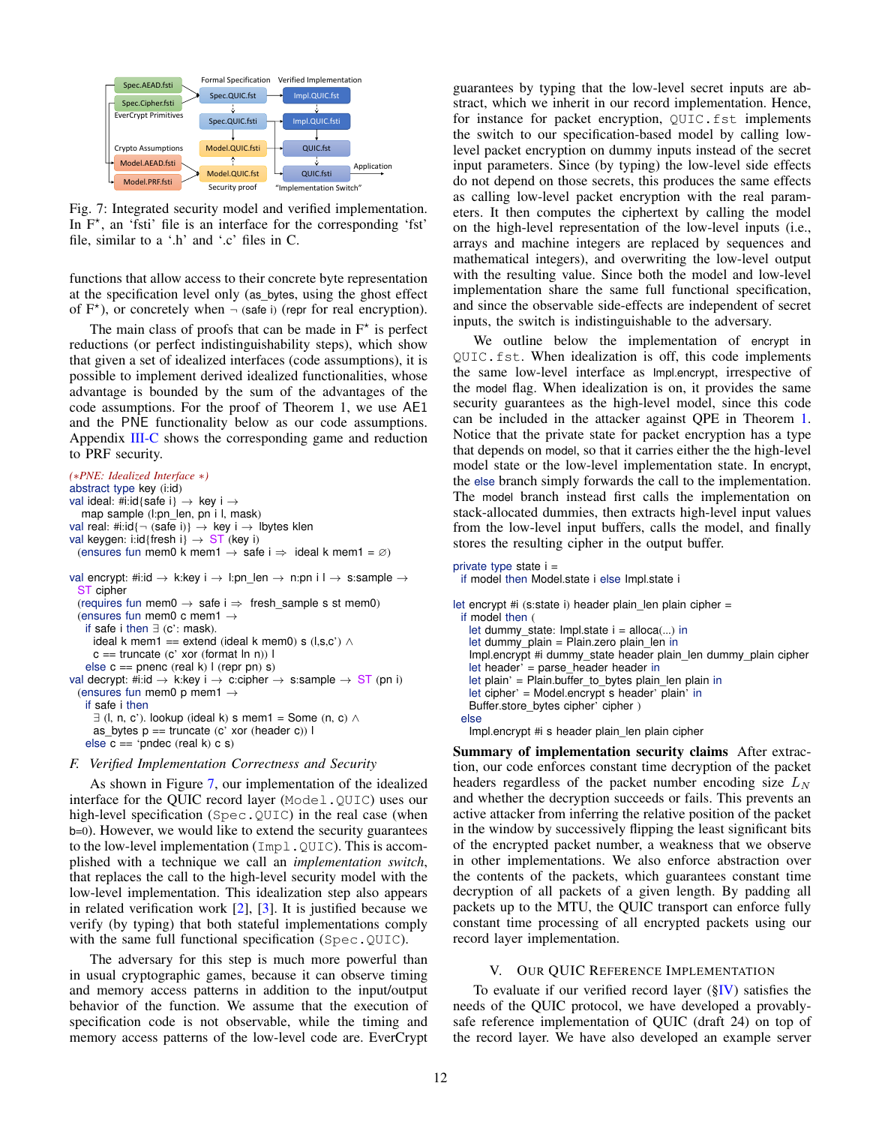<span id="page-11-1"></span>

Fig. 7: Integrated security model and verified implementation. In  $F^*$ , an 'fsti' file is an interface for the corresponding 'fst' file, similar to a '.h' and '.c' files in C.

functions that allow access to their concrete byte representation at the specification level only (as\_bytes, using the ghost effect of  $F^*$ ), or concretely when  $\neg$  (safe i) (repr for real encryption).

The main class of proofs that can be made in  $F^*$  is perfect reductions (or perfect indistinguishability steps), which show that given a set of idealized interfaces (code assumptions), it is possible to implement derived idealized functionalities, whose advantage is bounded by the sum of the advantages of the code assumptions. For the proof of Theorem 1, we use AE1 and the PNE functionality below as our code assumptions. Appendix [III-C](#page-6-1) shows the corresponding game and reduction to PRF security.

```
(∗PNE: Idealized Interface ∗)
abstract type key (i:id)
val ideal: #i:id{safe i} \rightarrow key i \rightarrowmap sample (l:pn_len, pn i l, mask)
val real: #i:id{\neg (safe i)} \rightarrow key i \rightarrow lbytes klen
val keygen: i:id{fresh i} \rightarrow ST (key i)
 (ensures fun mem0 k mem1 → safe i ⇒ ideal k mem1 = ∅)
val encrypt: #i:id \rightarrow k:key i \rightarrow l:pn_len \rightarrow n:pn i l \rightarrow s:sample \rightarrowST cipher
  (requires fun mem0 \rightarrow safe i \Rightarrow fresh_sample s st mem0)
  (ensures fun mem0 c mem1 \rightarrowif safe i then \exists (c': mask).
     ideal k mem1 == extend (ideal k mem0) s (l,s,c') \landc == truncate (c' xor (format ln n)) l
   else c == pnenc (real k) l (repr pn) s)
val decrypt: #i:id \rightarrow k:key i \rightarrow c:cipher \rightarrow s:sample \rightarrow ST (pn i)
  (ensures fun mem0 p mem1 \rightarrowif safe i then
     \exists (l, n, c'). lookup (ideal k) s mem1 = Some (n, c) \landas_bytes p == truncate (c' xor (header c)) l
   else c == 'pndec (real k) c s)
```
#### *F. Verified Implementation Correctness and Security*

As shown in Figure [7,](#page-11-1) our implementation of the idealized interface for the QUIC record layer (Model.QUIC) uses our high-level specification (Spec.QUIC) in the real case (when b=0). However, we would like to extend the security guarantees to the low-level implementation (Impl.QUIC). This is accomplished with a technique we call an *implementation switch*, that replaces the call to the high-level security model with the low-level implementation. This idealization step also appears in related verification work [\[2\]](#page-14-0), [\[3\]](#page-14-1). It is justified because we verify (by typing) that both stateful implementations comply with the same full functional specification (Spec.QUIC).

The adversary for this step is much more powerful than in usual cryptographic games, because it can observe timing and memory access patterns in addition to the input/output behavior of the function. We assume that the execution of specification code is not observable, while the timing and memory access patterns of the low-level code are. EverCrypt guarantees by typing that the low-level secret inputs are abstract, which we inherit in our record implementation. Hence, for instance for packet encryption, QUIC.fst implements the switch to our specification-based model by calling lowlevel packet encryption on dummy inputs instead of the secret input parameters. Since (by typing) the low-level side effects do not depend on those secrets, this produces the same effects as calling low-level packet encryption with the real parameters. It then computes the ciphertext by calling the model on the high-level representation of the low-level inputs (i.e., arrays and machine integers are replaced by sequences and mathematical integers), and overwriting the low-level output with the resulting value. Since both the model and low-level implementation share the same full functional specification, and since the observable side-effects are independent of secret inputs, the switch is indistinguishable to the adversary.

We outline below the implementation of encrypt in QUIC.fst. When idealization is off, this code implements the same low-level interface as Impl.encrypt, irrespective of the model flag. When idealization is on, it provides the same security guarantees as the high-level model, since this code can be included in the attacker against QPE in Theorem [1.](#page-5-0) Notice that the private state for packet encryption has a type that depends on model, so that it carries either the the high-level model state or the low-level implementation state. In encrypt, the else branch simply forwards the call to the implementation. The model branch instead first calls the implementation on stack-allocated dummies, then extracts high-level input values from the low-level input buffers, calls the model, and finally stores the resulting cipher in the output buffer.

```
private type state i =if model then Model.state i else Impl.state i
let encrypt #i (s:state i) header plain len plain cipher =
 if model then (
   let dummy state: Impl.state i = alloca(...) in
   let dummy plain = Plain.zero plain len in
   Impl.encrypt #i dummy_state header plain_len dummy_plain cipher
   let header' = parse_header header in
   let plain' = Plain.buffer_to_bytes plain_len plain in
   let cipher' = Model.encrypt s header' plain' in
   Buffer.store_bytes cipher' cipher )
 else
   Impl.encrypt #i s header plain_len plain cipher
```
Summary of implementation security claims After extraction, our code enforces constant time decryption of the packet headers regardless of the packet number encoding size  $L<sub>N</sub>$ and whether the decryption succeeds or fails. This prevents an active attacker from inferring the relative position of the packet in the window by successively flipping the least significant bits of the encrypted packet number, a weakness that we observe in other implementations. We also enforce abstraction over the contents of the packets, which guarantees constant time decryption of all packets of a given length. By padding all packets up to the MTU, the QUIC transport can enforce fully constant time processing of all encrypted packets using our record layer implementation.

#### V. OUR QUIC REFERENCE IMPLEMENTATION

<span id="page-11-0"></span>To evaluate if our verified record layer  $(\S$ <sup>IV</sup>) satisfies the needs of the QUIC protocol, we have developed a provablysafe reference implementation of QUIC (draft 24) on top of the record layer. We have also developed an example server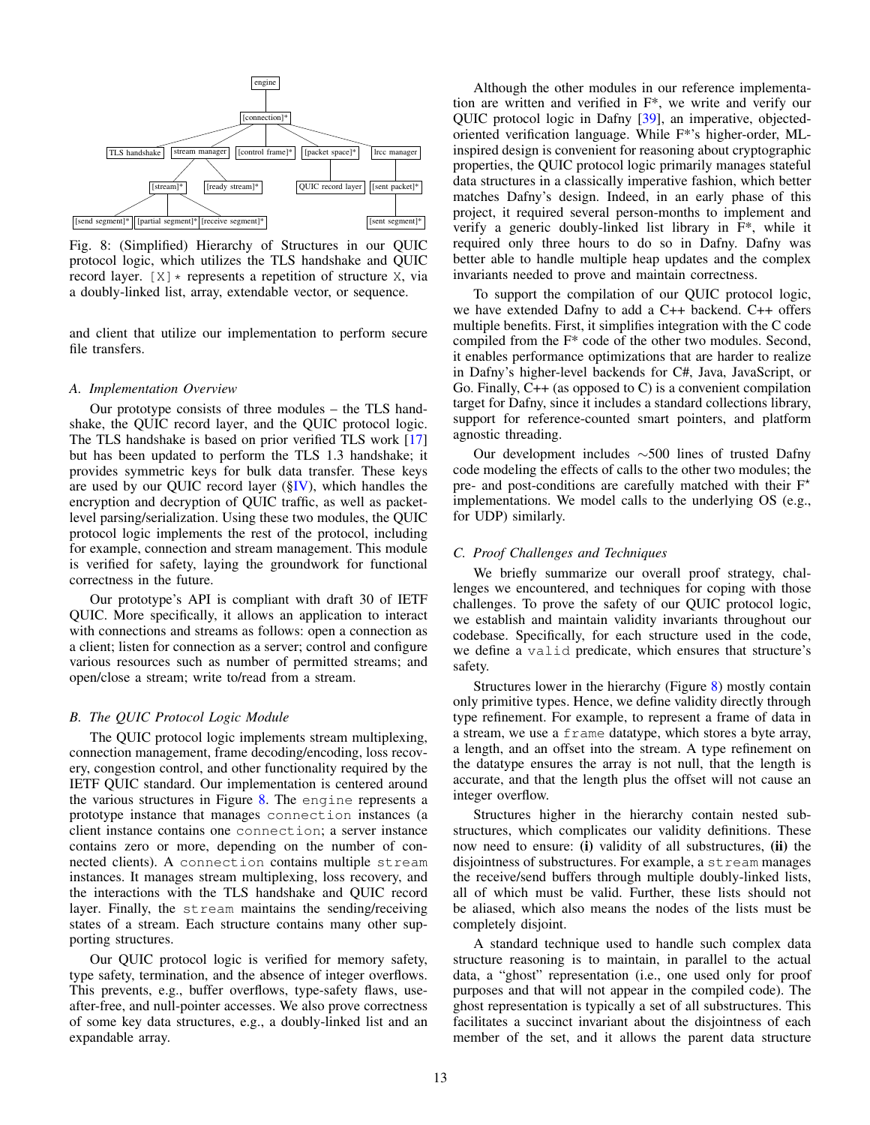<span id="page-12-0"></span>

Fig. 8: (Simplified) Hierarchy of Structures in our QUIC protocol logic, which utilizes the TLS handshake and QUIC record layer.  $[X] *$  represents a repetition of structure X, via a doubly-linked list, array, extendable vector, or sequence.

and client that utilize our implementation to perform secure file transfers.

#### *A. Implementation Overview*

Our prototype consists of three modules – the TLS handshake, the QUIC record layer, and the QUIC protocol logic. The TLS handshake is based on prior verified TLS work [\[17\]](#page-15-10) but has been updated to perform the TLS 1.3 handshake; it provides symmetric keys for bulk data transfer. These keys are used by our QUIC record layer  $(\S$ IV), which handles the encryption and decryption of QUIC traffic, as well as packetlevel parsing/serialization. Using these two modules, the QUIC protocol logic implements the rest of the protocol, including for example, connection and stream management. This module is verified for safety, laying the groundwork for functional correctness in the future.

Our prototype's API is compliant with draft 30 of IETF QUIC. More specifically, it allows an application to interact with connections and streams as follows: open a connection as a client; listen for connection as a server; control and configure various resources such as number of permitted streams; and open/close a stream; write to/read from a stream.

#### *B. The QUIC Protocol Logic Module*

The QUIC protocol logic implements stream multiplexing, connection management, frame decoding/encoding, loss recovery, congestion control, and other functionality required by the IETF QUIC standard. Our implementation is centered around the various structures in Figure [8.](#page-12-0) The engine represents a prototype instance that manages connection instances (a client instance contains one connection; a server instance contains zero or more, depending on the number of connected clients). A connection contains multiple stream instances. It manages stream multiplexing, loss recovery, and the interactions with the TLS handshake and QUIC record layer. Finally, the stream maintains the sending/receiving states of a stream. Each structure contains many other supporting structures.

Our QUIC protocol logic is verified for memory safety, type safety, termination, and the absence of integer overflows. This prevents, e.g., buffer overflows, type-safety flaws, useafter-free, and null-pointer accesses. We also prove correctness of some key data structures, e.g., a doubly-linked list and an expandable array.

Although the other modules in our reference implementation are written and verified in F\*, we write and verify our QUIC protocol logic in Dafny [\[39\]](#page-15-22), an imperative, objectedoriented verification language. While F\*'s higher-order, MLinspired design is convenient for reasoning about cryptographic properties, the QUIC protocol logic primarily manages stateful data structures in a classically imperative fashion, which better matches Dafny's design. Indeed, in an early phase of this project, it required several person-months to implement and verify a generic doubly-linked list library in F\*, while it required only three hours to do so in Dafny. Dafny was better able to handle multiple heap updates and the complex invariants needed to prove and maintain correctness.

To support the compilation of our QUIC protocol logic, we have extended Dafny to add a C++ backend. C++ offers multiple benefits. First, it simplifies integration with the C code compiled from the F\* code of the other two modules. Second, it enables performance optimizations that are harder to realize in Dafny's higher-level backends for C#, Java, JavaScript, or Go. Finally,  $C++$  (as opposed to C) is a convenient compilation target for Dafny, since it includes a standard collections library, support for reference-counted smart pointers, and platform agnostic threading.

Our development includes ∼500 lines of trusted Dafny code modeling the effects of calls to the other two modules; the pre- and post-conditions are carefully matched with their  $F^*$ implementations. We model calls to the underlying OS (e.g., for UDP) similarly.

#### *C. Proof Challenges and Techniques*

We briefly summarize our overall proof strategy, challenges we encountered, and techniques for coping with those challenges. To prove the safety of our QUIC protocol logic, we establish and maintain validity invariants throughout our codebase. Specifically, for each structure used in the code, we define a valid predicate, which ensures that structure's safety.

Structures lower in the hierarchy (Figure [8\)](#page-12-0) mostly contain only primitive types. Hence, we define validity directly through type refinement. For example, to represent a frame of data in a stream, we use a frame datatype, which stores a byte array, a length, and an offset into the stream. A type refinement on the datatype ensures the array is not null, that the length is accurate, and that the length plus the offset will not cause an integer overflow.

Structures higher in the hierarchy contain nested substructures, which complicates our validity definitions. These now need to ensure: (i) validity of all substructures, (ii) the disjointness of substructures. For example, a stream manages the receive/send buffers through multiple doubly-linked lists, all of which must be valid. Further, these lists should not be aliased, which also means the nodes of the lists must be completely disjoint.

A standard technique used to handle such complex data structure reasoning is to maintain, in parallel to the actual data, a "ghost" representation (i.e., one used only for proof purposes and that will not appear in the compiled code). The ghost representation is typically a set of all substructures. This facilitates a succinct invariant about the disjointness of each member of the set, and it allows the parent data structure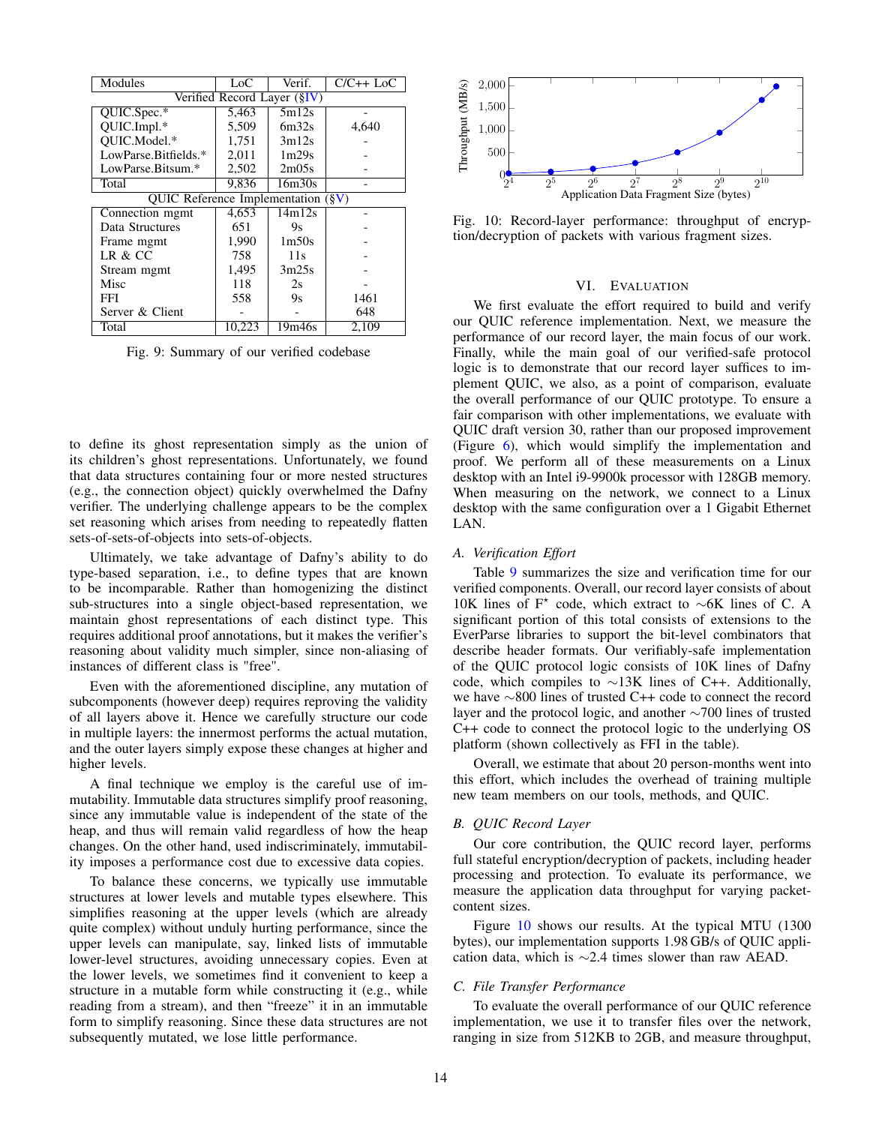<span id="page-13-1"></span>

| Modules                                 | Loc    | Verif.            | $C/C++$ LoC |
|-----------------------------------------|--------|-------------------|-------------|
| Verified Record Layer (§IV)             |        |                   |             |
| QUIC.Spec.*                             | 5,463  | 5m12s             |             |
| QUIC.Impl.*                             | 5,509  | 6m32s             | 4.640       |
| OUIC.Model.*                            | 1,751  | 3m12s             |             |
| LowParse.Bitfields.*                    | 2,011  | 1 <sub>m29s</sub> |             |
| LowParse.Bitsum.*                       | 2,502  | 2m05s             |             |
| Total                                   | 9,836  | 16m30s            |             |
| OUIC Reference Implementation $(\S{V})$ |        |                   |             |
| Connection mgmt                         | 4,653  | 14m12s            |             |
| Data Structures                         | 651    | 9s                |             |
| Frame mgmt                              | 1,990  | 1 <sub>m50s</sub> |             |
| LR & CC                                 | 758    | 11s               |             |
| Stream mgmt                             | 1,495  | 3m25s             |             |
| Misc                                    | 118    | 2s                |             |
| FFI                                     | 558    | 9s                | 1461        |
| Server & Client                         |        |                   | 648         |
| Total                                   | 10,223 | 19m46s            | 2,109       |

Fig. 9: Summary of our verified codebase

to define its ghost representation simply as the union of its children's ghost representations. Unfortunately, we found that data structures containing four or more nested structures (e.g., the connection object) quickly overwhelmed the Dafny verifier. The underlying challenge appears to be the complex set reasoning which arises from needing to repeatedly flatten sets-of-sets-of-objects into sets-of-objects.

Ultimately, we take advantage of Dafny's ability to do type-based separation, i.e., to define types that are known to be incomparable. Rather than homogenizing the distinct sub-structures into a single object-based representation, we maintain ghost representations of each distinct type. This requires additional proof annotations, but it makes the verifier's reasoning about validity much simpler, since non-aliasing of instances of different class is "free".

Even with the aforementioned discipline, any mutation of subcomponents (however deep) requires reproving the validity of all layers above it. Hence we carefully structure our code in multiple layers: the innermost performs the actual mutation, and the outer layers simply expose these changes at higher and higher levels.

A final technique we employ is the careful use of immutability. Immutable data structures simplify proof reasoning, since any immutable value is independent of the state of the heap, and thus will remain valid regardless of how the heap changes. On the other hand, used indiscriminately, immutability imposes a performance cost due to excessive data copies.

To balance these concerns, we typically use immutable structures at lower levels and mutable types elsewhere. This simplifies reasoning at the upper levels (which are already quite complex) without unduly hurting performance, since the upper levels can manipulate, say, linked lists of immutable lower-level structures, avoiding unnecessary copies. Even at the lower levels, we sometimes find it convenient to keep a structure in a mutable form while constructing it (e.g., while reading from a stream), and then "freeze" it in an immutable form to simplify reasoning. Since these data structures are not subsequently mutated, we lose little performance.

<span id="page-13-2"></span>

Fig. 10: Record-layer performance: throughput of encryption/decryption of packets with various fragment sizes.

## VI. EVALUATION

<span id="page-13-0"></span>We first evaluate the effort required to build and verify our QUIC reference implementation. Next, we measure the performance of our record layer, the main focus of our work. Finally, while the main goal of our verified-safe protocol logic is to demonstrate that our record layer suffices to implement QUIC, we also, as a point of comparison, evaluate the overall performance of our QUIC prototype. To ensure a fair comparison with other implementations, we evaluate with QUIC draft version 30, rather than our proposed improvement (Figure [6\)](#page-7-1), which would simplify the implementation and proof. We perform all of these measurements on a Linux desktop with an Intel i9-9900k processor with 128GB memory. When measuring on the network, we connect to a Linux desktop with the same configuration over a 1 Gigabit Ethernet LAN.

### *A. Verification Effort*

Table [9](#page-13-1) summarizes the size and verification time for our verified components. Overall, our record layer consists of about 10K lines of F? code, which extract to ∼6K lines of C. A significant portion of this total consists of extensions to the EverParse libraries to support the bit-level combinators that describe header formats. Our verifiably-safe implementation of the QUIC protocol logic consists of 10K lines of Dafny code, which compiles to ∼13K lines of C++. Additionally, we have ∼800 lines of trusted C++ code to connect the record layer and the protocol logic, and another ∼700 lines of trusted C++ code to connect the protocol logic to the underlying OS platform (shown collectively as FFI in the table).

Overall, we estimate that about 20 person-months went into this effort, which includes the overhead of training multiple new team members on our tools, methods, and QUIC.

#### *B. QUIC Record Layer*

Our core contribution, the QUIC record layer, performs full stateful encryption/decryption of packets, including header processing and protection. To evaluate its performance, we measure the application data throughput for varying packetcontent sizes.

Figure [10](#page-13-2) shows our results. At the typical MTU (1300 bytes), our implementation supports 1.98 GB/s of QUIC application data, which is ∼2.4 times slower than raw AEAD.

## *C. File Transfer Performance*

To evaluate the overall performance of our QUIC reference implementation, we use it to transfer files over the network, ranging in size from 512KB to 2GB, and measure throughput,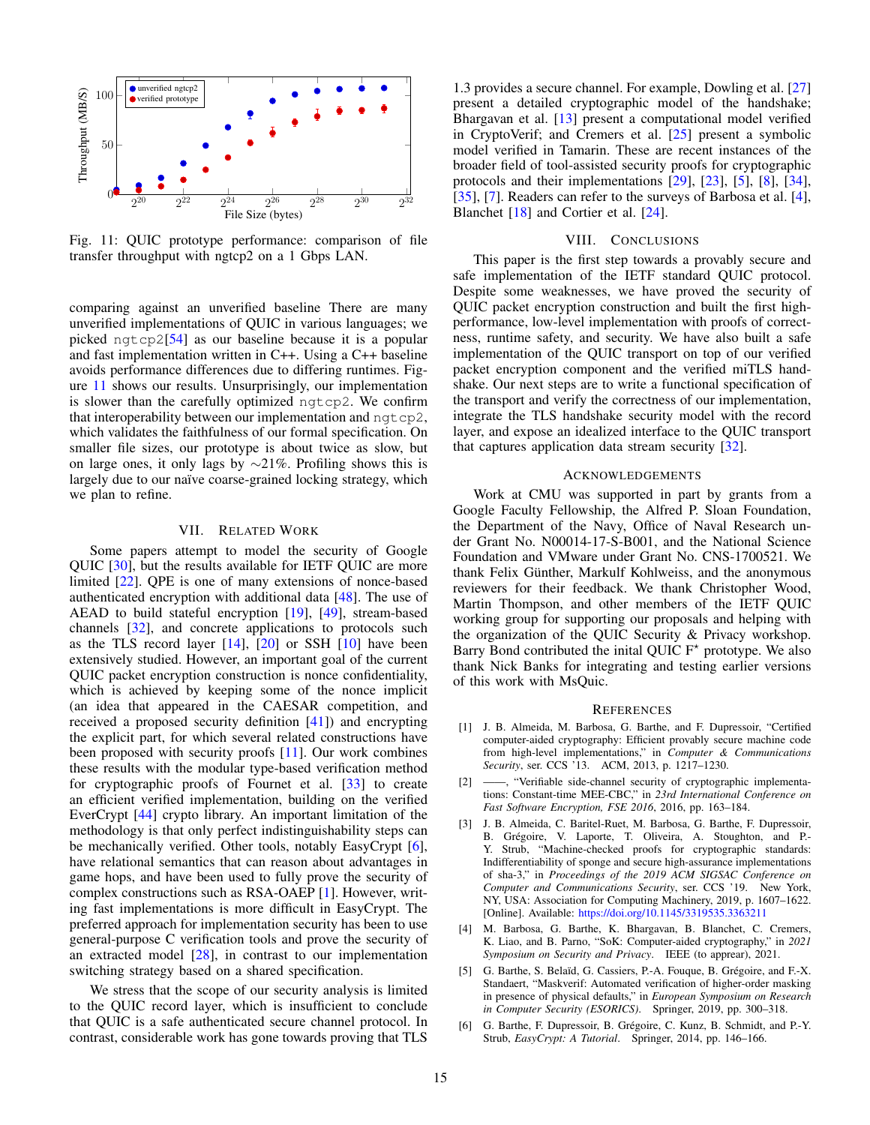<span id="page-14-2"></span>

Fig. 11: QUIC prototype performance: comparison of file transfer throughput with ngtcp2 on a 1 Gbps LAN.

comparing against an unverified baseline There are many unverified implementations of QUIC in various languages; we picked ngtcp2[\[54\]](#page-16-9) as our baseline because it is a popular and fast implementation written in C++. Using a C++ baseline avoids performance differences due to differing runtimes. Figure [11](#page-14-2) shows our results. Unsurprisingly, our implementation is slower than the carefully optimized ngtcp2. We confirm that interoperability between our implementation and  $nqtcp2$ , which validates the faithfulness of our formal specification. On smaller file sizes, our prototype is about twice as slow, but on large ones, it only lags by  $\sim$ 21%. Profiling shows this is largely due to our naïve coarse-grained locking strategy, which we plan to refine.

#### VII. RELATED WORK

Some papers attempt to model the security of Google QUIC [\[30\]](#page-15-6), but the results available for IETF QUIC are more limited [\[22\]](#page-15-23). QPE is one of many extensions of nonce-based authenticated encryption with additional data [\[48\]](#page-16-10). The use of AEAD to build stateful encryption [\[19\]](#page-15-24), [\[49\]](#page-16-11), stream-based channels [\[32\]](#page-15-25), and concrete applications to protocols such as the TLS record layer  $[14]$ ,  $[20]$  or SSH  $[10]$  have been extensively studied. However, an important goal of the current QUIC packet encryption construction is nonce confidentiality, which is achieved by keeping some of the nonce implicit (an idea that appeared in the CAESAR competition, and received a proposed security definition [\[41\]](#page-15-8)) and encrypting the explicit part, for which several related constructions have been proposed with security proofs [\[11\]](#page-15-7). Our work combines these results with the modular type-based verification method for cryptographic proofs of Fournet et al. [\[33\]](#page-15-21) to create an efficient verified implementation, building on the verified EverCrypt [\[44\]](#page-15-11) crypto library. An important limitation of the methodology is that only perfect indistinguishability steps can be mechanically verified. Other tools, notably EasyCrypt [\[6\]](#page-14-3), have relational semantics that can reason about advantages in game hops, and have been used to fully prove the security of complex constructions such as RSA-OAEP [\[1\]](#page-14-4). However, writing fast implementations is more difficult in EasyCrypt. The preferred approach for implementation security has been to use general-purpose C verification tools and prove the security of an extracted model [\[28\]](#page-15-28), in contrast to our implementation switching strategy based on a shared specification.

We stress that the scope of our security analysis is limited to the QUIC record layer, which is insufficient to conclude that QUIC is a safe authenticated secure channel protocol. In contrast, considerable work has gone towards proving that TLS 1.3 provides a secure channel. For example, Dowling et al. [\[27\]](#page-15-29) present a detailed cryptographic model of the handshake; Bhargavan et al. [\[13\]](#page-15-30) present a computational model verified in CryptoVerif; and Cremers et al. [\[25\]](#page-15-31) present a symbolic model verified in Tamarin. These are recent instances of the broader field of tool-assisted security proofs for cryptographic protocols and their implementations [\[29\]](#page-15-32), [\[23\]](#page-15-33), [\[5\]](#page-14-5), [\[8\]](#page-15-34), [\[34\]](#page-15-35), [\[35\]](#page-15-36), [\[7\]](#page-15-37). Readers can refer to the surveys of Barbosa et al. [\[4\]](#page-14-6), Blanchet [\[18\]](#page-15-38) and Cortier et al. [\[24\]](#page-15-39).

#### VIII. CONCLUSIONS

This paper is the first step towards a provably secure and safe implementation of the IETF standard QUIC protocol. Despite some weaknesses, we have proved the security of QUIC packet encryption construction and built the first highperformance, low-level implementation with proofs of correctness, runtime safety, and security. We have also built a safe implementation of the QUIC transport on top of our verified packet encryption component and the verified miTLS handshake. Our next steps are to write a functional specification of the transport and verify the correctness of our implementation, integrate the TLS handshake security model with the record layer, and expose an idealized interface to the QUIC transport that captures application data stream security [\[32\]](#page-15-25).

#### ACKNOWLEDGEMENTS

Work at CMU was supported in part by grants from a Google Faculty Fellowship, the Alfred P. Sloan Foundation, the Department of the Navy, Office of Naval Research under Grant No. N00014-17-S-B001, and the National Science Foundation and VMware under Grant No. CNS-1700521. We thank Felix Günther, Markulf Kohlweiss, and the anonymous reviewers for their feedback. We thank Christopher Wood, Martin Thompson, and other members of the IETF QUIC working group for supporting our proposals and helping with the organization of the QUIC Security & Privacy workshop. Barry Bond contributed the inital QUIC  $F^*$  prototype. We also thank Nick Banks for integrating and testing earlier versions of this work with MsQuic.

#### **REFERENCES**

- <span id="page-14-4"></span>[1] J. B. Almeida, M. Barbosa, G. Barthe, and F. Dupressoir, "Certified computer-aided cryptography: Efficient provably secure machine code from high-level implementations," in *Computer & Communications Security*, ser. CCS '13. ACM, 2013, p. 1217–1230.
- <span id="page-14-0"></span>[2] ——, "Verifiable side-channel security of cryptographic implementations: Constant-time MEE-CBC," in *23rd International Conference on Fast Software Encryption, FSE 2016*, 2016, pp. 163–184.
- <span id="page-14-1"></span>[3] J. B. Almeida, C. Baritel-Ruet, M. Barbosa, G. Barthe, F. Dupressoir, B. Grégoire, V. Laporte, T. Oliveira, A. Stoughton, and P.- Y. Strub, "Machine-checked proofs for cryptographic standards: Indifferentiability of sponge and secure high-assurance implementations of sha-3," in *Proceedings of the 2019 ACM SIGSAC Conference on Computer and Communications Security*, ser. CCS '19. New York, NY, USA: Association for Computing Machinery, 2019, p. 1607–1622. [Online]. Available: <https://doi.org/10.1145/3319535.3363211>
- <span id="page-14-6"></span>[4] M. Barbosa, G. Barthe, K. Bhargavan, B. Blanchet, C. Cremers, K. Liao, and B. Parno, "SoK: Computer-aided cryptography," in *2021 Symposium on Security and Privacy*. IEEE (to apprear), 2021.
- <span id="page-14-5"></span>[5] G. Barthe, S. Belaïd, G. Cassiers, P.-A. Fouque, B. Grégoire, and F.-X. Standaert, "Maskverif: Automated verification of higher-order masking in presence of physical defaults," in *European Symposium on Research in Computer Security (ESORICS)*. Springer, 2019, pp. 300–318.
- <span id="page-14-3"></span>[6] G. Barthe, F. Dupressoir, B. Grégoire, C. Kunz, B. Schmidt, and P.-Y. Strub, *EasyCrypt: A Tutorial*. Springer, 2014, pp. 146–166.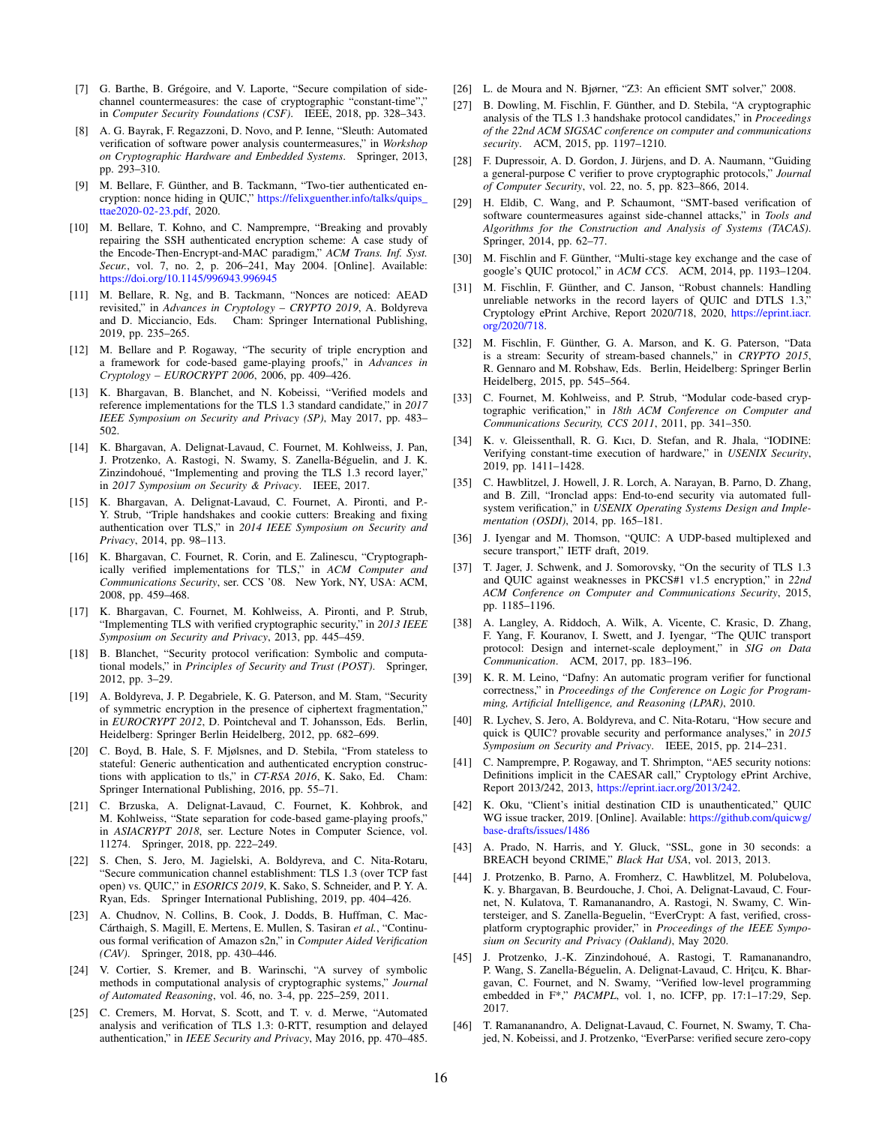- <span id="page-15-37"></span>[7] G. Barthe, B. Grégoire, and V. Laporte, "Secure compilation of sidechannel countermeasures: the case of cryptographic "constant-time"," in *Computer Security Foundations (CSF)*. IEEE, 2018, pp. 328–343.
- <span id="page-15-34"></span>[8] A. G. Bayrak, F. Regazzoni, D. Novo, and P. Ienne, "Sleuth: Automated verification of software power analysis countermeasures," in *Workshop on Cryptographic Hardware and Embedded Systems*. Springer, 2013, pp. 293–310.
- <span id="page-15-15"></span>[9] M. Bellare, F. Günther, and B. Tackmann, "Two-tier authenticated encryption: nonce hiding in QUIC," [https://felixguenther.info/talks/quips\\_](https://felixguenther.info/talks/quips_ttae2020-02-23.pdf) [ttae2020-02-23.pdf,](https://felixguenther.info/talks/quips_ttae2020-02-23.pdf) 2020.
- <span id="page-15-27"></span>[10] M. Bellare, T. Kohno, and C. Namprempre, "Breaking and provably repairing the SSH authenticated encryption scheme: A case study of the Encode-Then-Encrypt-and-MAC paradigm," *ACM Trans. Inf. Syst. Secur.*, vol. 7, no. 2, p. 206–241, May 2004. [Online]. Available: <https://doi.org/10.1145/996943.996945>
- <span id="page-15-7"></span>[11] M. Bellare, R. Ng, and B. Tackmann, "Nonces are noticed: AEAD revisited," in *Advances in Cryptology – CRYPTO 2019*, A. Boldyreva and D. Micciancio, Eds. Cham: Springer International Publishing, 2019, pp. 235–265.
- <span id="page-15-13"></span>[12] M. Bellare and P. Rogaway, "The security of triple encryption and a framework for code-based game-playing proofs," in *Advances in Cryptology – EUROCRYPT 2006*, 2006, pp. 409–426.
- <span id="page-15-30"></span>[13] K. Bhargavan, B. Blanchet, and N. Kobeissi, "Verified models and reference implementations for the TLS 1.3 standard candidate," in *2017 IEEE Symposium on Security and Privacy (SP)*, May 2017, pp. 483– 502.
- <span id="page-15-12"></span>[14] K. Bhargavan, A. Delignat-Lavaud, C. Fournet, M. Kohlweiss, J. Pan, J. Protzenko, A. Rastogi, N. Swamy, S. Zanella-Béguelin, and J. K. Zinzindohoué, "Implementing and proving the TLS 1.3 record layer," in *2017 Symposium on Security & Privacy*. IEEE, 2017.
- <span id="page-15-2"></span>[15] K. Bhargavan, A. Delignat-Lavaud, C. Fournet, A. Pironti, and P.-Y. Strub, "Triple handshakes and cookie cutters: Breaking and fixing authentication over TLS," in *2014 IEEE Symposium on Security and Privacy*, 2014, pp. 98–113.
- <span id="page-15-20"></span>[16] K. Bhargavan, C. Fournet, R. Corin, and E. Zalinescu, "Cryptographically verified implementations for TLS," in *ACM Computer and Communications Security*, ser. CCS '08. New York, NY, USA: ACM, 2008, pp. 459–468.
- <span id="page-15-10"></span>[17] K. Bhargavan, C. Fournet, M. Kohlweiss, A. Pironti, and P. Strub, "Implementing TLS with verified cryptographic security," in *2013 IEEE Symposium on Security and Privacy*, 2013, pp. 445–459.
- <span id="page-15-38"></span>[18] B. Blanchet, "Security protocol verification: Symbolic and computational models," in *Principles of Security and Trust (POST)*. Springer, 2012, pp. 3–29.
- <span id="page-15-24"></span>[19] A. Boldyreva, J. P. Degabriele, K. G. Paterson, and M. Stam, "Security of symmetric encryption in the presence of ciphertext fragmentation," in *EUROCRYPT 2012*, D. Pointcheval and T. Johansson, Eds. Berlin, Heidelberg: Springer Berlin Heidelberg, 2012, pp. 682–699.
- <span id="page-15-26"></span>[20] C. Boyd, B. Hale, S. F. Mjølsnes, and D. Stebila, "From stateless to stateful: Generic authentication and authenticated encryption constructions with application to tls," in *CT-RSA 2016*, K. Sako, Ed. Cham: Springer International Publishing, 2016, pp. 55–71.
- <span id="page-15-14"></span>[21] C. Brzuska, A. Delignat-Lavaud, C. Fournet, K. Kohbrok, and M. Kohlweiss, "State separation for code-based game-playing proofs," in *ASIACRYPT 2018*, ser. Lecture Notes in Computer Science, vol. 11274. Springer, 2018, pp. 222–249.
- <span id="page-15-23"></span>[22] S. Chen, S. Jero, M. Jagielski, A. Boldyreva, and C. Nita-Rotaru, "Secure communication channel establishment: TLS 1.3 (over TCP fast open) vs. QUIC," in *ESORICS 2019*, K. Sako, S. Schneider, and P. Y. A. Ryan, Eds. Springer International Publishing, 2019, pp. 404–426.
- <span id="page-15-33"></span>[23] A. Chudnov, N. Collins, B. Cook, J. Dodds, B. Huffman, C. Mac-Cárthaigh, S. Magill, E. Mertens, E. Mullen, S. Tasiran *et al.*, "Continuous formal verification of Amazon s2n," in *Computer Aided Verification (CAV)*. Springer, 2018, pp. 430–446.
- <span id="page-15-39"></span>[24] V. Cortier, S. Kremer, and B. Warinschi, "A survey of symbolic methods in computational analysis of cryptographic systems," *Journal of Automated Reasoning*, vol. 46, no. 3-4, pp. 225–259, 2011.
- <span id="page-15-31"></span>[25] C. Cremers, M. Horvat, S. Scott, and T. v. d. Merwe, "Automated analysis and verification of TLS 1.3: 0-RTT, resumption and delayed authentication," in *IEEE Security and Privacy*, May 2016, pp. 470–485.
- <span id="page-15-17"></span>[26] L. de Moura and N. Bjørner, "Z3: An efficient SMT solver," 2008.
- <span id="page-15-29"></span>[27] B. Dowling, M. Fischlin, F. Günther, and D. Stebila, "A cryptographic analysis of the TLS 1.3 handshake protocol candidates," in *Proceedings of the 22nd ACM SIGSAC conference on computer and communications security*. ACM, 2015, pp. 1197–1210.
- <span id="page-15-28"></span>[28] F. Dupressoir, A. D. Gordon, J. Jürjens, and D. A. Naumann, "Guiding a general-purpose C verifier to prove cryptographic protocols," *Journal of Computer Security*, vol. 22, no. 5, pp. 823–866, 2014.
- <span id="page-15-32"></span>[29] H. Eldib, C. Wang, and P. Schaumont, "SMT-based verification of software countermeasures against side-channel attacks," in *Tools and Algorithms for the Construction and Analysis of Systems (TACAS)*. Springer, 2014, pp. 62–77.
- <span id="page-15-6"></span>[30] M. Fischlin and F. Günther, "Multi-stage key exchange and the case of google's QUIC protocol," in *ACM CCS*. ACM, 2014, pp. 1193–1204.
- <span id="page-15-16"></span>[31] M. Fischlin, F. Günther, and C. Janson, "Robust channels: Handling unreliable networks in the record layers of QUIC and DTLS 1.3," Cryptology ePrint Archive, Report 2020/718, 2020, [https://eprint.iacr.](https://eprint.iacr.org/2020/718) [org/2020/718.](https://eprint.iacr.org/2020/718)
- <span id="page-15-25"></span>[32] M. Fischlin, F. Günther, G. A. Marson, and K. G. Paterson, "Data is a stream: Security of stream-based channels," in *CRYPTO 2015*, R. Gennaro and M. Robshaw, Eds. Berlin, Heidelberg: Springer Berlin Heidelberg, 2015, pp. 545–564.
- <span id="page-15-21"></span>[33] C. Fournet, M. Kohlweiss, and P. Strub, "Modular code-based cryptographic verification," in *18th ACM Conference on Computer and Communications Security, CCS 2011*, 2011, pp. 341–350.
- <span id="page-15-35"></span>[34] K. v. Gleissenthall, R. G. Kıcı, D. Stefan, and R. Jhala, "IODINE: Verifying constant-time execution of hardware," in *USENIX Security*, 2019, pp. 1411–1428.
- <span id="page-15-36"></span>[35] C. Hawblitzel, J. Howell, J. R. Lorch, A. Narayan, B. Parno, D. Zhang, and B. Zill, "Ironclad apps: End-to-end security via automated fullsystem verification," in *USENIX Operating Systems Design and Implementation (OSDI)*, 2014, pp. 165–181.
- <span id="page-15-3"></span>[36] J. Iyengar and M. Thomson, "QUIC: A UDP-based multiplexed and secure transport," IETF draft, 2019.
- <span id="page-15-5"></span>[37] T. Jager, J. Schwenk, and J. Somorovsky, "On the security of TLS 1.3 and QUIC against weaknesses in PKCS#1 v1.5 encryption," in *22nd ACM Conference on Computer and Communications Security*, 2015, pp. 1185–1196.
- <span id="page-15-0"></span>[38] A. Langley, A. Riddoch, A. Wilk, A. Vicente, C. Krasic, D. Zhang, F. Yang, F. Kouranov, I. Swett, and J. Iyengar, "The QUIC transport protocol: Design and internet-scale deployment," in *SIG on Data Communication*. ACM, 2017, pp. 183–196.
- <span id="page-15-22"></span>[39] K. R. M. Leino, "Dafny: An automatic program verifier for functional correctness," in *Proceedings of the Conference on Logic for Programming, Artificial Intelligence, and Reasoning (LPAR)*, 2010.
- <span id="page-15-4"></span>[40] R. Lychev, S. Jero, A. Boldyreva, and C. Nita-Rotaru, "How secure and quick is QUIC? provable security and performance analyses," in *2015 Symposium on Security and Privacy*. IEEE, 2015, pp. 214–231.
- <span id="page-15-8"></span>[41] C. Namprempre, P. Rogaway, and T. Shrimpton, "AE5 security notions: Definitions implicit in the CAESAR call," Cryptology ePrint Archive, Report 2013/242, 2013, [https://eprint.iacr.org/2013/242.](https://eprint.iacr.org/2013/242)
- <span id="page-15-9"></span>[42] K. Oku, "Client's initial destination CID is unauthenticated," QUIC WG issue tracker, 2019. [Online]. Available: [https://github.com/quicwg/](https://github.com/quicwg/base-drafts/issues/1486) [base-drafts/issues/1486](https://github.com/quicwg/base-drafts/issues/1486)
- <span id="page-15-1"></span>[43] A. Prado, N. Harris, and Y. Gluck, "SSL, gone in 30 seconds: a BREACH beyond CRIME," *Black Hat USA*, vol. 2013, 2013.
- <span id="page-15-11"></span>[44] J. Protzenko, B. Parno, A. Fromherz, C. Hawblitzel, M. Polubelova, K. y. Bhargavan, B. Beurdouche, J. Choi, A. Delignat-Lavaud, C. Fournet, N. Kulatova, T. Ramananandro, A. Rastogi, N. Swamy, C. Wintersteiger, and S. Zanella-Beguelin, "EverCrypt: A fast, verified, crossplatform cryptographic provider," in *Proceedings of the IEEE Symposium on Security and Privacy (Oakland)*, May 2020.
- <span id="page-15-18"></span>[45] J. Protzenko, J.-K. Zinzindohoué, A. Rastogi, T. Ramananandro, P. Wang, S. Zanella-Béguelin, A. Delignat-Lavaud, C. Hriţcu, K. Bhargavan, C. Fournet, and N. Swamy, "Verified low-level programming embedded in F\*," *PACMPL*, vol. 1, no. ICFP, pp. 17:1–17:29, Sep. 2017.
- <span id="page-15-19"></span>[46] T. Ramananandro, A. Delignat-Lavaud, C. Fournet, N. Swamy, T. Chajed, N. Kobeissi, and J. Protzenko, "EverParse: verified secure zero-copy